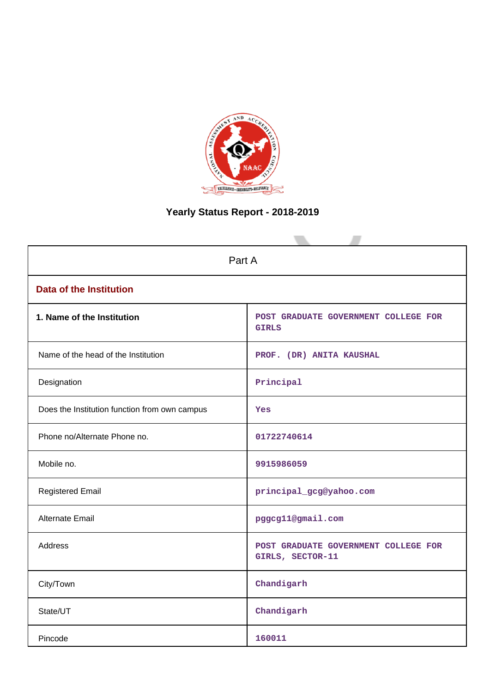

# **Yearly Status Report - 2018-2019**

| Part A                                        |                                                          |  |  |  |  |
|-----------------------------------------------|----------------------------------------------------------|--|--|--|--|
| <b>Data of the Institution</b>                |                                                          |  |  |  |  |
| 1. Name of the Institution                    | POST GRADUATE GOVERNMENT COLLEGE FOR<br><b>GIRLS</b>     |  |  |  |  |
| Name of the head of the Institution           | PROF. (DR) ANITA KAUSHAL                                 |  |  |  |  |
| Designation                                   | Principal                                                |  |  |  |  |
| Does the Institution function from own campus | <b>Yes</b>                                               |  |  |  |  |
| Phone no/Alternate Phone no.                  | 01722740614                                              |  |  |  |  |
| Mobile no.                                    | 9915986059                                               |  |  |  |  |
| <b>Registered Email</b>                       | principal_gcg@yahoo.com                                  |  |  |  |  |
| Alternate Email                               | pggcg11@gmail.com                                        |  |  |  |  |
| <b>Address</b>                                | POST GRADUATE GOVERNMENT COLLEGE FOR<br>GIRLS, SECTOR-11 |  |  |  |  |
| City/Town                                     | Chandigarh                                               |  |  |  |  |
| State/UT                                      | Chandigarh                                               |  |  |  |  |
| Pincode                                       | 160011                                                   |  |  |  |  |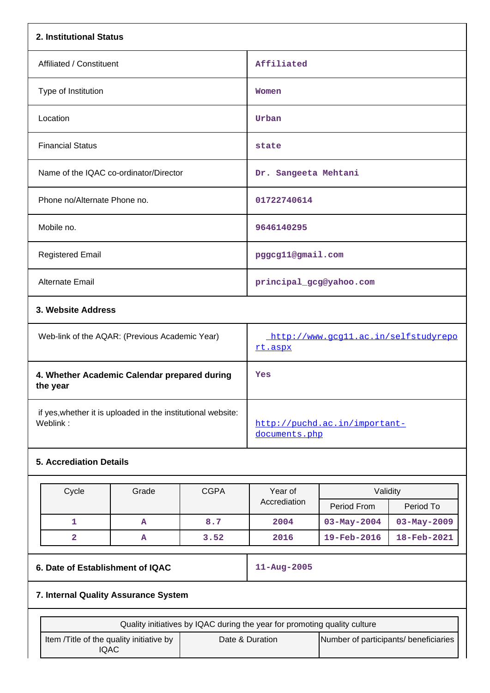| 2. Institutional Status                                                  |                                                 |
|--------------------------------------------------------------------------|-------------------------------------------------|
| Affiliated / Constituent                                                 | Affiliated                                      |
| Type of Institution                                                      | Women                                           |
| Location                                                                 | Urban                                           |
| <b>Financial Status</b>                                                  | state                                           |
| Name of the IQAC co-ordinator/Director                                   | Dr. Sangeeta Mehtani                            |
| Phone no/Alternate Phone no.                                             | 01722740614                                     |
| Mobile no.                                                               | 9646140295                                      |
| <b>Registered Email</b>                                                  | pggcg11@gmail.com                               |
| Alternate Email                                                          | principal_gcg@yahoo.com                         |
| 3. Website Address                                                       |                                                 |
| Web-link of the AQAR: (Previous Academic Year)                           | http://www.gcg11.ac.in/selfstudyrepo<br>rt.aspx |
| 4. Whether Academic Calendar prepared during<br>the year                 | Yes                                             |
| if yes, whether it is uploaded in the institutional website:<br>Weblink: | http://puchd.ac.in/important-                   |

# **5. Accrediation Details**

| Cycle | Grade | <b>CGPA</b> | Year of      | Validity                 |                          |
|-------|-------|-------------|--------------|--------------------------|--------------------------|
|       |       |             | Accrediation | Period From              | Period To                |
|       | A     | 8.7         | 2004         | $03 - May - 2004$        | $03 - May - 2009$        |
|       | А     | 3.52        | 2016         | $19 - \text{Feb} - 2016$ | $18 - \text{Feb} - 2021$ |

# **6. Date of Establishment of IQAC 11-Aug-2005**

[documents.php](http://puchd.ac.in/important-documents.php)

# **7. Internal Quality Assurance System**

| Quality initiatives by IQAC during the year for promoting quality culture |                 |                                       |  |  |  |
|---------------------------------------------------------------------------|-----------------|---------------------------------------|--|--|--|
| Item / Title of the quality initiative by<br>'QAC                         | Date & Duration | Number of participants/ beneficiaries |  |  |  |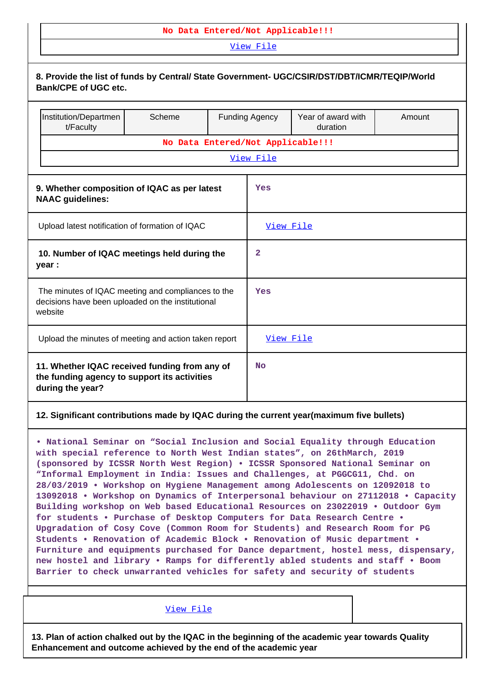### **No Data Entered/Not Applicable!!!**

[View File](https://assessmentonline.naac.gov.in/public/Postacc/Quality_Initiatives/4577_Quality_Initiatives.docx)

| 8. Provide the list of funds by Central/ State Government- UGC/CSIR/DST/DBT/ICMR/TEQIP/World<br><b>Bank/CPE of UGC etc.</b>                                                                                                                                                                                                                                                                                                                                                                                                                                                                                                                                                                                                                                                                                                                                                                                                                                                                                                                                               |        |           |                                   |                                |        |  |  |
|---------------------------------------------------------------------------------------------------------------------------------------------------------------------------------------------------------------------------------------------------------------------------------------------------------------------------------------------------------------------------------------------------------------------------------------------------------------------------------------------------------------------------------------------------------------------------------------------------------------------------------------------------------------------------------------------------------------------------------------------------------------------------------------------------------------------------------------------------------------------------------------------------------------------------------------------------------------------------------------------------------------------------------------------------------------------------|--------|-----------|-----------------------------------|--------------------------------|--------|--|--|
| Institution/Departmen<br>t/Faculty                                                                                                                                                                                                                                                                                                                                                                                                                                                                                                                                                                                                                                                                                                                                                                                                                                                                                                                                                                                                                                        | Scheme |           | <b>Funding Agency</b>             | Year of award with<br>duration | Amount |  |  |
|                                                                                                                                                                                                                                                                                                                                                                                                                                                                                                                                                                                                                                                                                                                                                                                                                                                                                                                                                                                                                                                                           |        |           | No Data Entered/Not Applicable!!! |                                |        |  |  |
| View File                                                                                                                                                                                                                                                                                                                                                                                                                                                                                                                                                                                                                                                                                                                                                                                                                                                                                                                                                                                                                                                                 |        |           |                                   |                                |        |  |  |
| 9. Whether composition of IQAC as per latest<br><b>NAAC</b> guidelines:                                                                                                                                                                                                                                                                                                                                                                                                                                                                                                                                                                                                                                                                                                                                                                                                                                                                                                                                                                                                   |        | Yes       |                                   |                                |        |  |  |
| Upload latest notification of formation of IQAC                                                                                                                                                                                                                                                                                                                                                                                                                                                                                                                                                                                                                                                                                                                                                                                                                                                                                                                                                                                                                           |        |           | View File                         |                                |        |  |  |
| 10. Number of IQAC meetings held during the<br>year :                                                                                                                                                                                                                                                                                                                                                                                                                                                                                                                                                                                                                                                                                                                                                                                                                                                                                                                                                                                                                     |        |           | 2                                 |                                |        |  |  |
| The minutes of IQAC meeting and compliances to the<br>decisions have been uploaded on the institutional<br>website                                                                                                                                                                                                                                                                                                                                                                                                                                                                                                                                                                                                                                                                                                                                                                                                                                                                                                                                                        |        |           | Yes                               |                                |        |  |  |
| Upload the minutes of meeting and action taken report                                                                                                                                                                                                                                                                                                                                                                                                                                                                                                                                                                                                                                                                                                                                                                                                                                                                                                                                                                                                                     |        |           | View File                         |                                |        |  |  |
| 11. Whether IQAC received funding from any of<br>the funding agency to support its activities<br>during the year?                                                                                                                                                                                                                                                                                                                                                                                                                                                                                                                                                                                                                                                                                                                                                                                                                                                                                                                                                         |        | <b>No</b> |                                   |                                |        |  |  |
| 12. Significant contributions made by IQAC during the current year(maximum five bullets)                                                                                                                                                                                                                                                                                                                                                                                                                                                                                                                                                                                                                                                                                                                                                                                                                                                                                                                                                                                  |        |           |                                   |                                |        |  |  |
| . National Seminar on "Social Inclusion and Social Equality through Education<br>with special reference to North West Indian states", on 26thMarch, 2019<br>(sponsored by ICSSR North West Region) . ICSSR Sponsored National Seminar on<br>"Informal Employment in India: Issues and Challenges, at PGGCG11, Chd. on<br>28/03/2019 • Workshop on Hygiene Management among Adolescents on 12092018 to<br>13092018 • Workshop on Dynamics of Interpersonal behaviour on 27112018 • Capacity<br>Building workshop on Web based Educational Resources on 23022019 . Outdoor Gym<br>for students . Purchase of Desktop Computers for Data Research Centre .<br>Upgradation of Cosy Cove (Common Room for Students) and Research Room for PG<br>Students . Renovation of Academic Block . Renovation of Music department .<br>Furniture and equipments purchased for Dance department, hostel mess, dispensary,<br>new hostel and library . Ramps for differently abled students and staff . Boom<br>Barrier to check unwarranted vehicles for safety and security of students |        |           |                                   |                                |        |  |  |

[View File](https://assessmentonline.naac.gov.in/public/Postacc/Contribution/4577_Contribution.xlsx)

**13. Plan of action chalked out by the IQAC in the beginning of the academic year towards Quality Enhancement and outcome achieved by the end of the academic year**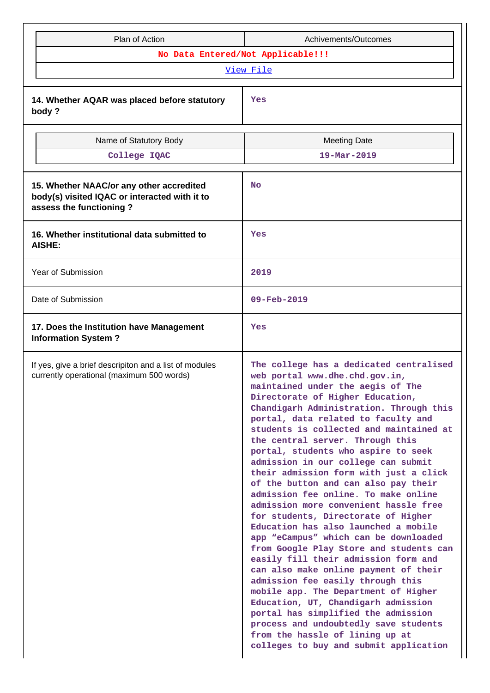| Plan of Action                                                                                                       | Achivements/Outcomes                                                                                                                                                                                                                                                                                                                                                                                                                                                                                                                                                                                                                                                                                                                                                                                                                                                                                                                                                                                                                                                                                      |  |  |  |  |
|----------------------------------------------------------------------------------------------------------------------|-----------------------------------------------------------------------------------------------------------------------------------------------------------------------------------------------------------------------------------------------------------------------------------------------------------------------------------------------------------------------------------------------------------------------------------------------------------------------------------------------------------------------------------------------------------------------------------------------------------------------------------------------------------------------------------------------------------------------------------------------------------------------------------------------------------------------------------------------------------------------------------------------------------------------------------------------------------------------------------------------------------------------------------------------------------------------------------------------------------|--|--|--|--|
|                                                                                                                      | No Data Entered/Not Applicable!!!                                                                                                                                                                                                                                                                                                                                                                                                                                                                                                                                                                                                                                                                                                                                                                                                                                                                                                                                                                                                                                                                         |  |  |  |  |
|                                                                                                                      | View File                                                                                                                                                                                                                                                                                                                                                                                                                                                                                                                                                                                                                                                                                                                                                                                                                                                                                                                                                                                                                                                                                                 |  |  |  |  |
| 14. Whether AQAR was placed before statutory<br>body?                                                                | Yes                                                                                                                                                                                                                                                                                                                                                                                                                                                                                                                                                                                                                                                                                                                                                                                                                                                                                                                                                                                                                                                                                                       |  |  |  |  |
| Name of Statutory Body                                                                                               | <b>Meeting Date</b>                                                                                                                                                                                                                                                                                                                                                                                                                                                                                                                                                                                                                                                                                                                                                                                                                                                                                                                                                                                                                                                                                       |  |  |  |  |
| College IQAC                                                                                                         | $19 - \text{Mar} - 2019$                                                                                                                                                                                                                                                                                                                                                                                                                                                                                                                                                                                                                                                                                                                                                                                                                                                                                                                                                                                                                                                                                  |  |  |  |  |
| 15. Whether NAAC/or any other accredited<br>body(s) visited IQAC or interacted with it to<br>assess the functioning? | No                                                                                                                                                                                                                                                                                                                                                                                                                                                                                                                                                                                                                                                                                                                                                                                                                                                                                                                                                                                                                                                                                                        |  |  |  |  |
| 16. Whether institutional data submitted to<br><b>AISHE:</b>                                                         | Yes                                                                                                                                                                                                                                                                                                                                                                                                                                                                                                                                                                                                                                                                                                                                                                                                                                                                                                                                                                                                                                                                                                       |  |  |  |  |
| Year of Submission                                                                                                   | 2019                                                                                                                                                                                                                                                                                                                                                                                                                                                                                                                                                                                                                                                                                                                                                                                                                                                                                                                                                                                                                                                                                                      |  |  |  |  |
| Date of Submission                                                                                                   | $09 - Feb - 2019$                                                                                                                                                                                                                                                                                                                                                                                                                                                                                                                                                                                                                                                                                                                                                                                                                                                                                                                                                                                                                                                                                         |  |  |  |  |
| 17. Does the Institution have Management<br><b>Information System?</b>                                               | Yes                                                                                                                                                                                                                                                                                                                                                                                                                                                                                                                                                                                                                                                                                                                                                                                                                                                                                                                                                                                                                                                                                                       |  |  |  |  |
| If yes, give a brief descripiton and a list of modules<br>currently operational (maximum 500 words)                  | The college has a dedicated centralised<br>web portal www.dhe.chd.gov.in,<br>maintained under the aegis of The<br>Directorate of Higher Education,<br>Chandigarh Administration. Through this<br>portal, data related to faculty and<br>students is collected and maintained at<br>the central server. Through this<br>portal, students who aspire to seek<br>admission in our college can submit<br>their admission form with just a click<br>of the button and can also pay their<br>admission fee online. To make online<br>admission more convenient hassle free<br>for students, Directorate of Higher<br>Education has also launched a mobile<br>app "eCampus" which can be downloaded<br>from Google Play Store and students can<br>easily fill their admission form and<br>can also make online payment of their<br>admission fee easily through this<br>mobile app. The Department of Higher<br>Education, UT, Chandigarh admission<br>portal has simplified the admission<br>process and undoubtedly save students<br>from the hassle of lining up at<br>colleges to buy and submit application |  |  |  |  |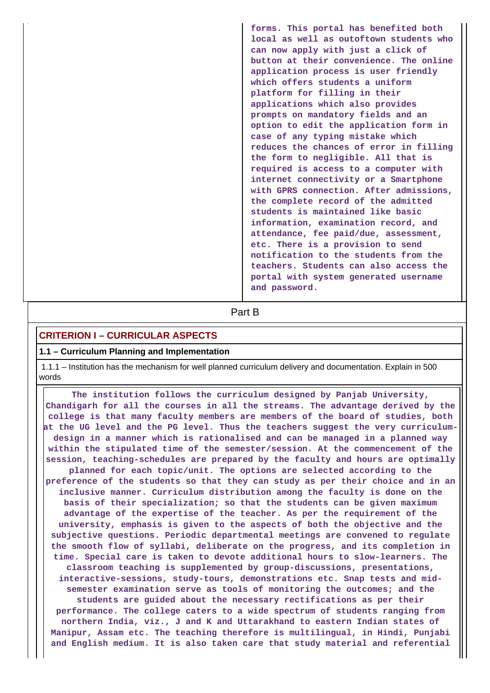**forms. This portal has benefited both local as well as outoftown students who can now apply with just a click of button at their convenience. The online application process is user friendly which offers students a uniform platform for filling in their applications which also provides prompts on mandatory fields and an option to edit the application form in case of any typing mistake which reduces the chances of error in filling the form to negligible. All that is required is access to a computer with internet connectivity or a Smartphone with GPRS connection. After admissions, the complete record of the admitted students is maintained like basic information, examination record, and attendance, fee paid/due, assessment, etc. There is a provision to send notification to the students from the teachers. Students can also access the portal with system generated username and password.**

**Part B** 

# **CRITERION I – CURRICULAR ASPECTS**

#### **1.1 – Curriculum Planning and Implementation**

 1.1.1 – Institution has the mechanism for well planned curriculum delivery and documentation. Explain in 500 words

 **The institution follows the curriculum designed by Panjab University, Chandigarh for all the courses in all the streams. The advantage derived by the college is that many faculty members are members of the board of studies, both at the UG level and the PG level. Thus the teachers suggest the very curriculumdesign in a manner which is rationalised and can be managed in a planned way within the stipulated time of the semester/session. At the commencement of the session, teaching-schedules are prepared by the faculty and hours are optimally planned for each topic/unit. The options are selected according to the preference of the students so that they can study as per their choice and in an inclusive manner. Curriculum distribution among the faculty is done on the basis of their specialization; so that the students can be given maximum advantage of the expertise of the teacher. As per the requirement of the university, emphasis is given to the aspects of both the objective and the subjective questions. Periodic departmental meetings are convened to regulate the smooth flow of syllabi, deliberate on the progress, and its completion in time. Special care is taken to devote additional hours to slow-learners. The classroom teaching is supplemented by group-discussions, presentations, interactive-sessions, study-tours, demonstrations etc. Snap tests and midsemester examination serve as tools of monitoring the outcomes; and the students are guided about the necessary rectifications as per their performance. The college caters to a wide spectrum of students ranging from northern India, viz., J and K and Uttarakhand to eastern Indian states of Manipur, Assam etc. The teaching therefore is multilingual, in Hindi, Punjabi and English medium. It is also taken care that study material and referential**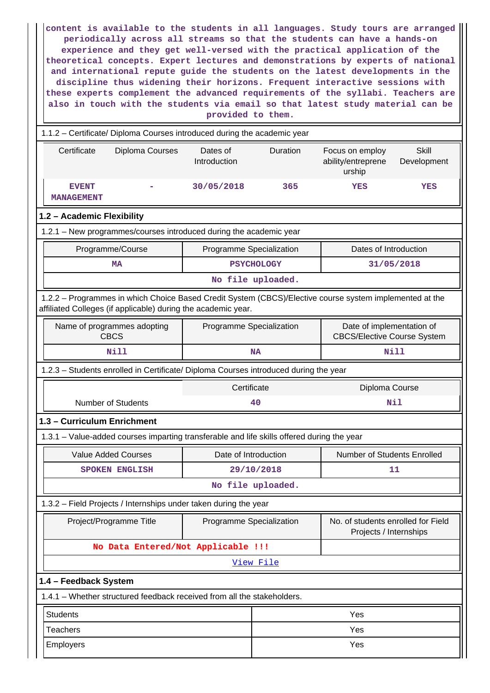**content is available to the students in all languages. Study tours are arranged periodically across all streams so that the students can have a hands-on experience and they get well-versed with the practical application of the theoretical concepts. Expert lectures and demonstrations by experts of national and international repute guide the students on the latest developments in the discipline thus widening their horizons. Frequent interactive sessions with these experts complement the advanced requirements of the syllabi. Teachers are also in touch with the students via email so that latest study material can be provided to them.**

| 1.1.2 - Certificate/ Diploma Courses introduced during the academic year                                                                                                 |                                                                                            |                                                                                             |                   |                                                              |                             |  |  |
|--------------------------------------------------------------------------------------------------------------------------------------------------------------------------|--------------------------------------------------------------------------------------------|---------------------------------------------------------------------------------------------|-------------------|--------------------------------------------------------------|-----------------------------|--|--|
| Certificate                                                                                                                                                              | Diploma Courses                                                                            | Dates of<br>Introduction                                                                    | Duration          | Focus on employ<br>ability/entreprene<br>urship              | <b>Skill</b><br>Development |  |  |
| <b>EVENT</b><br><b>MANAGEMENT</b>                                                                                                                                        |                                                                                            | 30/05/2018                                                                                  | 365               | <b>YES</b>                                                   | YES                         |  |  |
| 1.2 - Academic Flexibility                                                                                                                                               |                                                                                            |                                                                                             |                   |                                                              |                             |  |  |
|                                                                                                                                                                          | 1.2.1 - New programmes/courses introduced during the academic year                         |                                                                                             |                   |                                                              |                             |  |  |
|                                                                                                                                                                          | Programme/Course                                                                           | Programme Specialization                                                                    |                   | Dates of Introduction                                        |                             |  |  |
|                                                                                                                                                                          | <b>MA</b>                                                                                  |                                                                                             | <b>PSYCHOLOGY</b> |                                                              | 31/05/2018                  |  |  |
|                                                                                                                                                                          |                                                                                            |                                                                                             | No file uploaded. |                                                              |                             |  |  |
| 1.2.2 - Programmes in which Choice Based Credit System (CBCS)/Elective course system implemented at the<br>affiliated Colleges (if applicable) during the academic year. |                                                                                            |                                                                                             |                   |                                                              |                             |  |  |
|                                                                                                                                                                          | Name of programmes adopting<br><b>CBCS</b>                                                 | Date of implementation of<br>Programme Specialization<br><b>CBCS/Elective Course System</b> |                   |                                                              |                             |  |  |
|                                                                                                                                                                          | <b>Nill</b>                                                                                |                                                                                             | <b>NA</b>         | <b>Nill</b>                                                  |                             |  |  |
| 1.2.3 - Students enrolled in Certificate/ Diploma Courses introduced during the year                                                                                     |                                                                                            |                                                                                             |                   |                                                              |                             |  |  |
| Certificate<br>Diploma Course                                                                                                                                            |                                                                                            |                                                                                             |                   |                                                              |                             |  |  |
|                                                                                                                                                                          | <b>Number of Students</b>                                                                  |                                                                                             | 40                |                                                              | Nil                         |  |  |
| 1.3 - Curriculum Enrichment                                                                                                                                              |                                                                                            |                                                                                             |                   |                                                              |                             |  |  |
|                                                                                                                                                                          | 1.3.1 – Value-added courses imparting transferable and life skills offered during the year |                                                                                             |                   |                                                              |                             |  |  |
|                                                                                                                                                                          | <b>Value Added Courses</b>                                                                 | Date of Introduction                                                                        |                   | Number of Students Enrolled                                  |                             |  |  |
|                                                                                                                                                                          | <b>SPOKEN ENGLISH</b>                                                                      |                                                                                             | 29/10/2018        |                                                              | 11                          |  |  |
|                                                                                                                                                                          |                                                                                            |                                                                                             | No file uploaded. |                                                              |                             |  |  |
|                                                                                                                                                                          | 1.3.2 - Field Projects / Internships under taken during the year                           |                                                                                             |                   |                                                              |                             |  |  |
|                                                                                                                                                                          | Project/Programme Title                                                                    | Programme Specialization                                                                    |                   | No. of students enrolled for Field<br>Projects / Internships |                             |  |  |
|                                                                                                                                                                          | No Data Entered/Not Applicable !!!                                                         |                                                                                             |                   |                                                              |                             |  |  |
|                                                                                                                                                                          |                                                                                            |                                                                                             | View File         |                                                              |                             |  |  |
| 1.4 - Feedback System                                                                                                                                                    |                                                                                            |                                                                                             |                   |                                                              |                             |  |  |
|                                                                                                                                                                          | 1.4.1 - Whether structured feedback received from all the stakeholders.                    |                                                                                             |                   |                                                              |                             |  |  |
| <b>Students</b>                                                                                                                                                          |                                                                                            |                                                                                             |                   | Yes                                                          |                             |  |  |
| <b>Teachers</b>                                                                                                                                                          |                                                                                            |                                                                                             |                   | Yes                                                          |                             |  |  |
| Employers                                                                                                                                                                | Yes                                                                                        |                                                                                             |                   |                                                              |                             |  |  |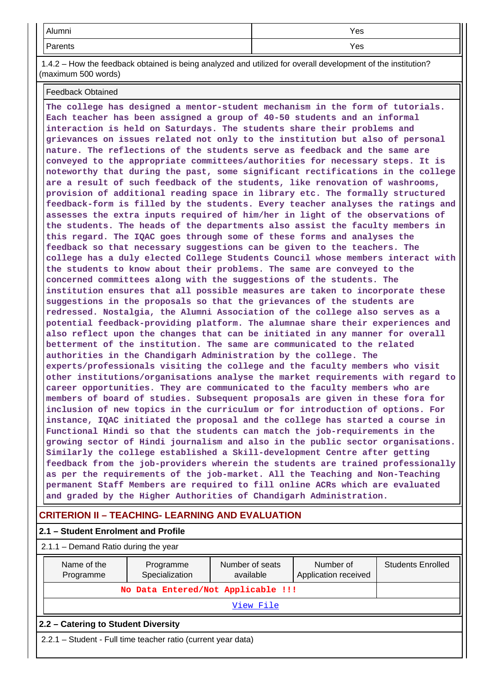| $\mathbf{A}$ is a second<br>AIUITIII | Yes |
|--------------------------------------|-----|
| <u>ъ.</u><br>rents<br>.              | Yes |

 1.4.2 – How the feedback obtained is being analyzed and utilized for overall development of the institution? (maximum 500 words)

#### Feedback Obtained

**The college has designed a mentor-student mechanism in the form of tutorials. Each teacher has been assigned a group of 40-50 students and an informal interaction is held on Saturdays. The students share their problems and grievances on issues related not only to the institution but also of personal nature. The reflections of the students serve as feedback and the same are conveyed to the appropriate committees/authorities for necessary steps. It is noteworthy that during the past, some significant rectifications in the college are a result of such feedback of the students, like renovation of washrooms, provision of additional reading space in library etc. The formally structured feedback-form is filled by the students. Every teacher analyses the ratings and assesses the extra inputs required of him/her in light of the observations of the students. The heads of the departments also assist the faculty members in this regard. The IQAC goes through some of these forms and analyses the feedback so that necessary suggestions can be given to the teachers. The college has a duly elected College Students Council whose members interact with the students to know about their problems. The same are conveyed to the concerned committees along with the suggestions of the students. The institution ensures that all possible measures are taken to incorporate these suggestions in the proposals so that the grievances of the students are redressed. Nostalgia, the Alumni Association of the college also serves as a potential feedback-providing platform. The alumnae share their experiences and also reflect upon the changes that can be initiated in any manner for overall betterment of the institution. The same are communicated to the related authorities in the Chandigarh Administration by the college. The experts/professionals visiting the college and the faculty members who visit other institutions/organisations analyse the market requirements with regard to career opportunities. They are communicated to the faculty members who are members of board of studies. Subsequent proposals are given in these fora for inclusion of new topics in the curriculum or for introduction of options. For instance, IQAC initiated the proposal and the college has started a course in Functional Hindi so that the students can match the job-requirements in the growing sector of Hindi journalism and also in the public sector organisations. Similarly the college established a Skill-development Centre after getting feedback from the job-providers wherein the students are trained professionally as per the requirements of the job-market. All the Teaching and Non-Teaching permanent Staff Members are required to fill online ACRs which are evaluated and graded by the Higher Authorities of Chandigarh Administration.**

# **CRITERION II – TEACHING- LEARNING AND EVALUATION**

| 2.1 - Student Enrolment and Profile    |                                                               |                              |                                   |                          |  |  |  |
|----------------------------------------|---------------------------------------------------------------|------------------------------|-----------------------------------|--------------------------|--|--|--|
| $2.1.1 -$ Demand Ratio during the year |                                                               |                              |                                   |                          |  |  |  |
| Name of the<br>Programme               | Programme<br>Specialization                                   | Number of seats<br>available | Number of<br>Application received | <b>Students Enrolled</b> |  |  |  |
|                                        | No Data Entered/Not Applicable !!!                            |                              |                                   |                          |  |  |  |
|                                        |                                                               | View File                    |                                   |                          |  |  |  |
| 2.2 – Catering to Student Diversity    |                                                               |                              |                                   |                          |  |  |  |
|                                        | 2.2.1 – Student - Full time teacher ratio (current year data) |                              |                                   |                          |  |  |  |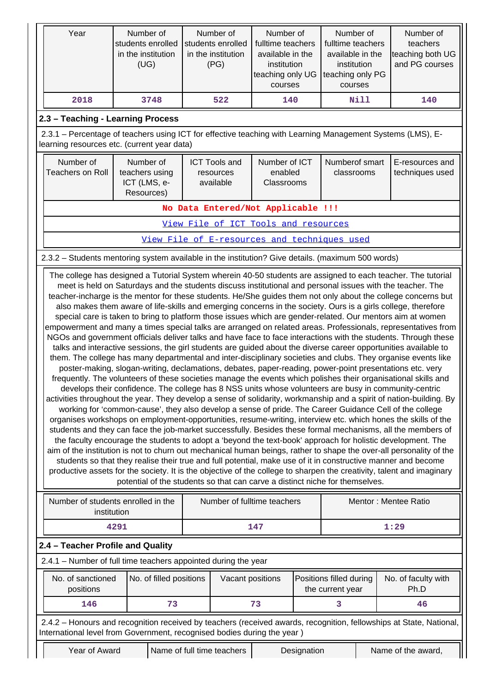| Year                                                                                                                                                                                                                                                                                                                                                                                                                                                                                                                                                                                                                                                                                                                                                                                                                                                                                                                                                                                                                                                                                                                                                                                                                                                                                                                                                                                                                                                                                                                                                                                                                                                                                                                                                                                                                                                                                                                                                                                                                                                                                                                                                                                                                                                                                                                                                                                                                         | Number of<br>students enrolled<br>in the institution<br>(UG) | Number of<br>students enrolled<br>in the institution<br>(PG) | Number of<br>fulltime teachers<br>available in the<br>institution<br>teaching only UG<br>courses |             | Number of<br>fulltime teachers<br>available in the<br>institution<br>teaching only PG<br>courses | Number of<br>teachers<br>teaching both UG<br>and PG courses                                                         |
|------------------------------------------------------------------------------------------------------------------------------------------------------------------------------------------------------------------------------------------------------------------------------------------------------------------------------------------------------------------------------------------------------------------------------------------------------------------------------------------------------------------------------------------------------------------------------------------------------------------------------------------------------------------------------------------------------------------------------------------------------------------------------------------------------------------------------------------------------------------------------------------------------------------------------------------------------------------------------------------------------------------------------------------------------------------------------------------------------------------------------------------------------------------------------------------------------------------------------------------------------------------------------------------------------------------------------------------------------------------------------------------------------------------------------------------------------------------------------------------------------------------------------------------------------------------------------------------------------------------------------------------------------------------------------------------------------------------------------------------------------------------------------------------------------------------------------------------------------------------------------------------------------------------------------------------------------------------------------------------------------------------------------------------------------------------------------------------------------------------------------------------------------------------------------------------------------------------------------------------------------------------------------------------------------------------------------------------------------------------------------------------------------------------------------|--------------------------------------------------------------|--------------------------------------------------------------|--------------------------------------------------------------------------------------------------|-------------|--------------------------------------------------------------------------------------------------|---------------------------------------------------------------------------------------------------------------------|
| 2018                                                                                                                                                                                                                                                                                                                                                                                                                                                                                                                                                                                                                                                                                                                                                                                                                                                                                                                                                                                                                                                                                                                                                                                                                                                                                                                                                                                                                                                                                                                                                                                                                                                                                                                                                                                                                                                                                                                                                                                                                                                                                                                                                                                                                                                                                                                                                                                                                         | 3748                                                         | 522                                                          | 140                                                                                              |             | 140                                                                                              |                                                                                                                     |
| 2.3 - Teaching - Learning Process                                                                                                                                                                                                                                                                                                                                                                                                                                                                                                                                                                                                                                                                                                                                                                                                                                                                                                                                                                                                                                                                                                                                                                                                                                                                                                                                                                                                                                                                                                                                                                                                                                                                                                                                                                                                                                                                                                                                                                                                                                                                                                                                                                                                                                                                                                                                                                                            |                                                              |                                                              |                                                                                                  |             |                                                                                                  |                                                                                                                     |
| 2.3.1 - Percentage of teachers using ICT for effective teaching with Learning Management Systems (LMS), E-<br>learning resources etc. (current year data)                                                                                                                                                                                                                                                                                                                                                                                                                                                                                                                                                                                                                                                                                                                                                                                                                                                                                                                                                                                                                                                                                                                                                                                                                                                                                                                                                                                                                                                                                                                                                                                                                                                                                                                                                                                                                                                                                                                                                                                                                                                                                                                                                                                                                                                                    |                                                              |                                                              |                                                                                                  |             |                                                                                                  |                                                                                                                     |
| Number of<br><b>Teachers on Roll</b>                                                                                                                                                                                                                                                                                                                                                                                                                                                                                                                                                                                                                                                                                                                                                                                                                                                                                                                                                                                                                                                                                                                                                                                                                                                                                                                                                                                                                                                                                                                                                                                                                                                                                                                                                                                                                                                                                                                                                                                                                                                                                                                                                                                                                                                                                                                                                                                         | Number of<br>teachers using<br>ICT (LMS, e-<br>Resources)    | <b>ICT Tools and</b><br>resources<br>available               | Number of ICT<br>enabled<br>Classrooms                                                           |             | Numberof smart<br>classrooms                                                                     | E-resources and<br>techniques used                                                                                  |
|                                                                                                                                                                                                                                                                                                                                                                                                                                                                                                                                                                                                                                                                                                                                                                                                                                                                                                                                                                                                                                                                                                                                                                                                                                                                                                                                                                                                                                                                                                                                                                                                                                                                                                                                                                                                                                                                                                                                                                                                                                                                                                                                                                                                                                                                                                                                                                                                                              |                                                              | No Data Entered/Not Applicable !!!                           |                                                                                                  |             |                                                                                                  |                                                                                                                     |
|                                                                                                                                                                                                                                                                                                                                                                                                                                                                                                                                                                                                                                                                                                                                                                                                                                                                                                                                                                                                                                                                                                                                                                                                                                                                                                                                                                                                                                                                                                                                                                                                                                                                                                                                                                                                                                                                                                                                                                                                                                                                                                                                                                                                                                                                                                                                                                                                                              |                                                              | View File of ICT Tools and resources                         |                                                                                                  |             |                                                                                                  |                                                                                                                     |
|                                                                                                                                                                                                                                                                                                                                                                                                                                                                                                                                                                                                                                                                                                                                                                                                                                                                                                                                                                                                                                                                                                                                                                                                                                                                                                                                                                                                                                                                                                                                                                                                                                                                                                                                                                                                                                                                                                                                                                                                                                                                                                                                                                                                                                                                                                                                                                                                                              |                                                              | View File of E-resources and techniques used                 |                                                                                                  |             |                                                                                                  |                                                                                                                     |
| 2.3.2 - Students mentoring system available in the institution? Give details. (maximum 500 words)                                                                                                                                                                                                                                                                                                                                                                                                                                                                                                                                                                                                                                                                                                                                                                                                                                                                                                                                                                                                                                                                                                                                                                                                                                                                                                                                                                                                                                                                                                                                                                                                                                                                                                                                                                                                                                                                                                                                                                                                                                                                                                                                                                                                                                                                                                                            |                                                              |                                                              |                                                                                                  |             |                                                                                                  |                                                                                                                     |
| The college has designed a Tutorial System wherein 40-50 students are assigned to each teacher. The tutorial<br>meet is held on Saturdays and the students discuss institutional and personal issues with the teacher. The<br>teacher-incharge is the mentor for these students. He/She guides them not only about the college concerns but<br>also makes them aware of life-skills and emerging concerns in the society. Ours is a girls college, therefore<br>special care is taken to bring to platform those issues which are gender-related. Our mentors aim at women<br>empowerment and many a times special talks are arranged on related areas. Professionals, representatives from<br>NGOs and government officials deliver talks and have face to face interactions with the students. Through these<br>talks and interactive sessions, the girl students are guided about the diverse career opportunities available to<br>them. The college has many departmental and inter-disciplinary societies and clubs. They organise events like<br>poster-making, slogan-writing, declamations, debates, paper-reading, power-point presentations etc. very<br>frequently. The volunteers of these societies manage the events which polishes their organisational skills and<br>develops their confidence. The college has 8 NSS units whose volunteers are busy in community-centric<br>activities throughout the year. They develop a sense of solidarity, workmanship and a spirit of nation-building. By<br>working for 'common-cause', they also develop a sense of pride. The Career Guidance Cell of the college<br>organises workshops on employment-opportunities, resume-writing, interview etc. which hones the skills of the<br>students and they can face the job-market successfully. Besides these formal mechanisms, all the members of<br>the faculty encourage the students to adopt a 'beyond the text-book' approach for holistic development. The<br>aim of the institution is not to churn out mechanical human beings, rather to shape the over-all personality of the<br>students so that they realise their true and full potential, make use of it in constructive manner and become<br>productive assets for the society. It is the objective of the college to sharpen the creativity, talent and imaginary<br>potential of the students so that can carve a distinct niche for themselves. |                                                              |                                                              |                                                                                                  |             |                                                                                                  |                                                                                                                     |
| institution                                                                                                                                                                                                                                                                                                                                                                                                                                                                                                                                                                                                                                                                                                                                                                                                                                                                                                                                                                                                                                                                                                                                                                                                                                                                                                                                                                                                                                                                                                                                                                                                                                                                                                                                                                                                                                                                                                                                                                                                                                                                                                                                                                                                                                                                                                                                                                                                                  | Number of students enrolled in the                           | Number of fulltime teachers                                  |                                                                                                  |             |                                                                                                  | Mentor: Mentee Ratio                                                                                                |
|                                                                                                                                                                                                                                                                                                                                                                                                                                                                                                                                                                                                                                                                                                                                                                                                                                                                                                                                                                                                                                                                                                                                                                                                                                                                                                                                                                                                                                                                                                                                                                                                                                                                                                                                                                                                                                                                                                                                                                                                                                                                                                                                                                                                                                                                                                                                                                                                                              | 4291                                                         |                                                              | 147                                                                                              |             |                                                                                                  | 1:29                                                                                                                |
| 2.4 - Teacher Profile and Quality                                                                                                                                                                                                                                                                                                                                                                                                                                                                                                                                                                                                                                                                                                                                                                                                                                                                                                                                                                                                                                                                                                                                                                                                                                                                                                                                                                                                                                                                                                                                                                                                                                                                                                                                                                                                                                                                                                                                                                                                                                                                                                                                                                                                                                                                                                                                                                                            |                                                              |                                                              |                                                                                                  |             |                                                                                                  |                                                                                                                     |
| 2.4.1 - Number of full time teachers appointed during the year                                                                                                                                                                                                                                                                                                                                                                                                                                                                                                                                                                                                                                                                                                                                                                                                                                                                                                                                                                                                                                                                                                                                                                                                                                                                                                                                                                                                                                                                                                                                                                                                                                                                                                                                                                                                                                                                                                                                                                                                                                                                                                                                                                                                                                                                                                                                                               |                                                              |                                                              |                                                                                                  |             |                                                                                                  |                                                                                                                     |
| No. of sanctioned<br>positions                                                                                                                                                                                                                                                                                                                                                                                                                                                                                                                                                                                                                                                                                                                                                                                                                                                                                                                                                                                                                                                                                                                                                                                                                                                                                                                                                                                                                                                                                                                                                                                                                                                                                                                                                                                                                                                                                                                                                                                                                                                                                                                                                                                                                                                                                                                                                                                               | No. of filled positions                                      |                                                              | Vacant positions                                                                                 |             | Positions filled during<br>the current year                                                      | No. of faculty with<br>Ph.D                                                                                         |
| 146                                                                                                                                                                                                                                                                                                                                                                                                                                                                                                                                                                                                                                                                                                                                                                                                                                                                                                                                                                                                                                                                                                                                                                                                                                                                                                                                                                                                                                                                                                                                                                                                                                                                                                                                                                                                                                                                                                                                                                                                                                                                                                                                                                                                                                                                                                                                                                                                                          | 73                                                           |                                                              | 73                                                                                               |             | 3                                                                                                | 46                                                                                                                  |
| International level from Government, recognised bodies during the year)                                                                                                                                                                                                                                                                                                                                                                                                                                                                                                                                                                                                                                                                                                                                                                                                                                                                                                                                                                                                                                                                                                                                                                                                                                                                                                                                                                                                                                                                                                                                                                                                                                                                                                                                                                                                                                                                                                                                                                                                                                                                                                                                                                                                                                                                                                                                                      |                                                              |                                                              |                                                                                                  |             |                                                                                                  | 2.4.2 - Honours and recognition received by teachers (received awards, recognition, fellowships at State, National, |
| Year of Award                                                                                                                                                                                                                                                                                                                                                                                                                                                                                                                                                                                                                                                                                                                                                                                                                                                                                                                                                                                                                                                                                                                                                                                                                                                                                                                                                                                                                                                                                                                                                                                                                                                                                                                                                                                                                                                                                                                                                                                                                                                                                                                                                                                                                                                                                                                                                                                                                |                                                              | Name of full time teachers                                   |                                                                                                  | Designation |                                                                                                  | Name of the award,                                                                                                  |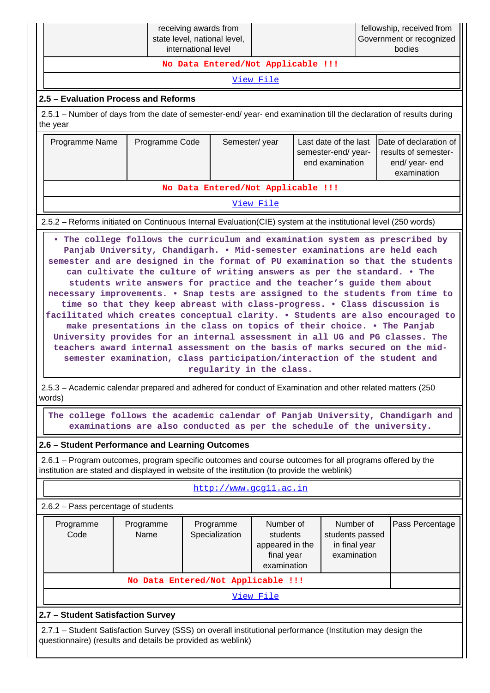|                                                                                                                                                                                                                                                                                                                                                                                                                                                                                                                                                                                                                                                                                                                                                                                                                                                                                                                                                                                                      |                                                                                                                                                                           | receiving awards from<br>state level, national level,<br>international level |                                                                                                                                                                     |  |  | fellowship, received from<br>Government or recognized<br>bodies |  |  |
|------------------------------------------------------------------------------------------------------------------------------------------------------------------------------------------------------------------------------------------------------------------------------------------------------------------------------------------------------------------------------------------------------------------------------------------------------------------------------------------------------------------------------------------------------------------------------------------------------------------------------------------------------------------------------------------------------------------------------------------------------------------------------------------------------------------------------------------------------------------------------------------------------------------------------------------------------------------------------------------------------|---------------------------------------------------------------------------------------------------------------------------------------------------------------------------|------------------------------------------------------------------------------|---------------------------------------------------------------------------------------------------------------------------------------------------------------------|--|--|-----------------------------------------------------------------|--|--|
|                                                                                                                                                                                                                                                                                                                                                                                                                                                                                                                                                                                                                                                                                                                                                                                                                                                                                                                                                                                                      |                                                                                                                                                                           | No Data Entered/Not Applicable !!!                                           |                                                                                                                                                                     |  |  |                                                                 |  |  |
|                                                                                                                                                                                                                                                                                                                                                                                                                                                                                                                                                                                                                                                                                                                                                                                                                                                                                                                                                                                                      |                                                                                                                                                                           |                                                                              | View File                                                                                                                                                           |  |  |                                                                 |  |  |
| 2.5 - Evaluation Process and Reforms                                                                                                                                                                                                                                                                                                                                                                                                                                                                                                                                                                                                                                                                                                                                                                                                                                                                                                                                                                 |                                                                                                                                                                           |                                                                              |                                                                                                                                                                     |  |  |                                                                 |  |  |
| 2.5.1 - Number of days from the date of semester-end/ year- end examination till the declaration of results during<br>the year                                                                                                                                                                                                                                                                                                                                                                                                                                                                                                                                                                                                                                                                                                                                                                                                                                                                       |                                                                                                                                                                           |                                                                              |                                                                                                                                                                     |  |  |                                                                 |  |  |
| Programme Name                                                                                                                                                                                                                                                                                                                                                                                                                                                                                                                                                                                                                                                                                                                                                                                                                                                                                                                                                                                       | Programme Code                                                                                                                                                            |                                                                              | Last date of the last<br>Date of declaration of<br>Semester/year<br>results of semester-<br>semester-end/ year-<br>end examination<br>end/ year- end<br>examination |  |  |                                                                 |  |  |
|                                                                                                                                                                                                                                                                                                                                                                                                                                                                                                                                                                                                                                                                                                                                                                                                                                                                                                                                                                                                      |                                                                                                                                                                           | No Data Entered/Not Applicable !!!                                           |                                                                                                                                                                     |  |  |                                                                 |  |  |
|                                                                                                                                                                                                                                                                                                                                                                                                                                                                                                                                                                                                                                                                                                                                                                                                                                                                                                                                                                                                      |                                                                                                                                                                           |                                                                              | View File                                                                                                                                                           |  |  |                                                                 |  |  |
| 2.5.2 – Reforms initiated on Continuous Internal Evaluation (CIE) system at the institutional level (250 words)                                                                                                                                                                                                                                                                                                                                                                                                                                                                                                                                                                                                                                                                                                                                                                                                                                                                                      |                                                                                                                                                                           |                                                                              |                                                                                                                                                                     |  |  |                                                                 |  |  |
| . The college follows the curriculum and examination system as prescribed by<br>Panjab University, Chandigarh. . Mid-semester examinations are held each<br>semester and are designed in the format of PU examination so that the students<br>can cultivate the culture of writing answers as per the standard. . The<br>students write answers for practice and the teacher's guide them about<br>necessary improvements. . Snap tests are assigned to the students from time to<br>time so that they keep abreast with class-progress. . Class discussion is<br>facilitated which creates conceptual clarity. . Students are also encouraged to<br>make presentations in the class on topics of their choice. . The Panjab<br>University provides for an internal assessment in all UG and PG classes. The<br>teachers award internal assessment on the basis of marks secured on the mid-<br>semester examination, class participation/interaction of the student and<br>regularity in the class. |                                                                                                                                                                           |                                                                              |                                                                                                                                                                     |  |  |                                                                 |  |  |
| 2.5.3 - Academic calendar prepared and adhered for conduct of Examination and other related matters (250)<br>words)<br>The college follows the academic calendar of Panjab University, Chandigarh and                                                                                                                                                                                                                                                                                                                                                                                                                                                                                                                                                                                                                                                                                                                                                                                                |                                                                                                                                                                           |                                                                              |                                                                                                                                                                     |  |  |                                                                 |  |  |
|                                                                                                                                                                                                                                                                                                                                                                                                                                                                                                                                                                                                                                                                                                                                                                                                                                                                                                                                                                                                      |                                                                                                                                                                           | examinations are also conducted as per the schedule of the university.       |                                                                                                                                                                     |  |  |                                                                 |  |  |
| 2.6 - Student Performance and Learning Outcomes                                                                                                                                                                                                                                                                                                                                                                                                                                                                                                                                                                                                                                                                                                                                                                                                                                                                                                                                                      |                                                                                                                                                                           |                                                                              |                                                                                                                                                                     |  |  |                                                                 |  |  |
| 2.6.1 – Program outcomes, program specific outcomes and course outcomes for all programs offered by the<br>institution are stated and displayed in website of the institution (to provide the weblink)                                                                                                                                                                                                                                                                                                                                                                                                                                                                                                                                                                                                                                                                                                                                                                                               |                                                                                                                                                                           |                                                                              |                                                                                                                                                                     |  |  |                                                                 |  |  |
|                                                                                                                                                                                                                                                                                                                                                                                                                                                                                                                                                                                                                                                                                                                                                                                                                                                                                                                                                                                                      |                                                                                                                                                                           | http://www.gcgll.ac.in                                                       |                                                                                                                                                                     |  |  |                                                                 |  |  |
| 2.6.2 - Pass percentage of students                                                                                                                                                                                                                                                                                                                                                                                                                                                                                                                                                                                                                                                                                                                                                                                                                                                                                                                                                                  |                                                                                                                                                                           |                                                                              |                                                                                                                                                                     |  |  |                                                                 |  |  |
| Number of<br>Programme<br>Programme<br>Programme<br>Number of<br>Code<br>Name<br>Specialization<br>students<br>students passed<br>appeared in the<br>in final year<br>examination<br>final year<br>examination                                                                                                                                                                                                                                                                                                                                                                                                                                                                                                                                                                                                                                                                                                                                                                                       |                                                                                                                                                                           |                                                                              |                                                                                                                                                                     |  |  | Pass Percentage                                                 |  |  |
|                                                                                                                                                                                                                                                                                                                                                                                                                                                                                                                                                                                                                                                                                                                                                                                                                                                                                                                                                                                                      |                                                                                                                                                                           | No Data Entered/Not Applicable !!!                                           |                                                                                                                                                                     |  |  |                                                                 |  |  |
|                                                                                                                                                                                                                                                                                                                                                                                                                                                                                                                                                                                                                                                                                                                                                                                                                                                                                                                                                                                                      |                                                                                                                                                                           |                                                                              | View File                                                                                                                                                           |  |  |                                                                 |  |  |
| 2.7 - Student Satisfaction Survey                                                                                                                                                                                                                                                                                                                                                                                                                                                                                                                                                                                                                                                                                                                                                                                                                                                                                                                                                                    |                                                                                                                                                                           |                                                                              |                                                                                                                                                                     |  |  |                                                                 |  |  |
|                                                                                                                                                                                                                                                                                                                                                                                                                                                                                                                                                                                                                                                                                                                                                                                                                                                                                                                                                                                                      | 2.7.1 - Student Satisfaction Survey (SSS) on overall institutional performance (Institution may design the<br>questionnaire) (results and details be provided as weblink) |                                                                              |                                                                                                                                                                     |  |  |                                                                 |  |  |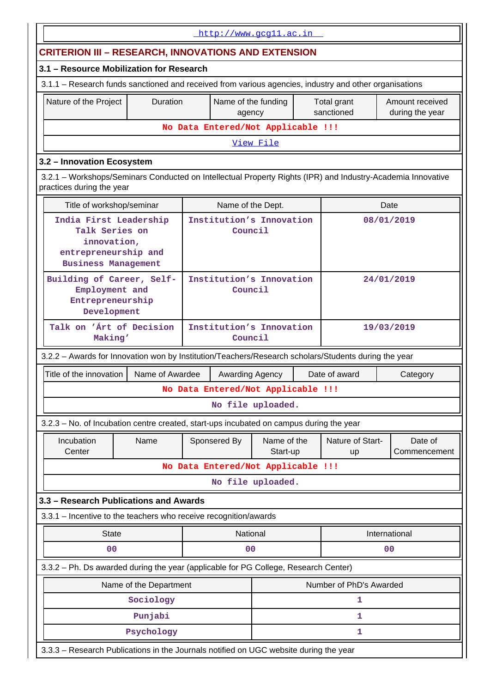|                                                                                                                                                                    | http://www.gcg11.ac.in |                                     |                         |  |                           |                                    |  |
|--------------------------------------------------------------------------------------------------------------------------------------------------------------------|------------------------|-------------------------------------|-------------------------|--|---------------------------|------------------------------------|--|
| <b>CRITERION III - RESEARCH, INNOVATIONS AND EXTENSION</b>                                                                                                         |                        |                                     |                         |  |                           |                                    |  |
| 3.1 - Resource Mobilization for Research                                                                                                                           |                        |                                     |                         |  |                           |                                    |  |
| 3.1.1 - Research funds sanctioned and received from various agencies, industry and other organisations                                                             |                        |                                     |                         |  |                           |                                    |  |
| Duration<br>Nature of the Project                                                                                                                                  |                        | Name of the funding<br>agency       |                         |  | Total grant<br>sanctioned | Amount received<br>during the year |  |
|                                                                                                                                                                    |                        | No Data Entered/Not Applicable !!!  |                         |  |                           |                                    |  |
|                                                                                                                                                                    |                        | View File                           |                         |  |                           |                                    |  |
| 3.2 - Innovation Ecosystem                                                                                                                                         |                        |                                     |                         |  |                           |                                    |  |
| 3.2.1 - Workshops/Seminars Conducted on Intellectual Property Rights (IPR) and Industry-Academia Innovative<br>practices during the year                           |                        |                                     |                         |  |                           |                                    |  |
| Title of workshop/seminar                                                                                                                                          |                        | Name of the Dept.                   |                         |  |                           | Date                               |  |
| India First Leadership<br>Institution's Innovation<br>08/01/2019<br>Talk Series on<br>Council<br>innovation,<br>entrepreneurship and<br><b>Business Management</b> |                        |                                     |                         |  |                           |                                    |  |
| Institution's Innovation<br>Building of Career, Self-<br>24/01/2019<br>Employment and<br>Council<br>Entrepreneurship<br>Development                                |                        |                                     |                         |  |                           |                                    |  |
| Talk on 'Art of Decision<br>Making'                                                                                                                                |                        | Institution's Innovation<br>Council |                         |  |                           | 19/03/2019                         |  |
| 3.2.2 - Awards for Innovation won by Institution/Teachers/Research scholars/Students during the year                                                               |                        |                                     |                         |  |                           |                                    |  |
| Title of the innovation<br>Name of Awardee                                                                                                                         |                        | Awarding Agency                     |                         |  | Date of award             | Category                           |  |
|                                                                                                                                                                    |                        | No Data Entered/Not Applicable !!!  |                         |  |                           |                                    |  |
|                                                                                                                                                                    |                        | No file uploaded.                   |                         |  |                           |                                    |  |
| 3.2.3 – No. of Incubation centre created, start-ups incubated on campus during the year                                                                            |                        |                                     |                         |  |                           |                                    |  |
| Incubation<br>Name<br>Center                                                                                                                                       |                        | Sponsered By                        | Name of the<br>Start-up |  | Nature of Start-<br>up    | Date of<br>Commencement            |  |
|                                                                                                                                                                    |                        | No Data Entered/Not Applicable !!!  |                         |  |                           |                                    |  |
|                                                                                                                                                                    |                        | No file uploaded.                   |                         |  |                           |                                    |  |
| 3.3 - Research Publications and Awards                                                                                                                             |                        |                                     |                         |  |                           |                                    |  |
| 3.3.1 - Incentive to the teachers who receive recognition/awards                                                                                                   |                        |                                     |                         |  |                           |                                    |  |
| <b>State</b>                                                                                                                                                       |                        | National                            |                         |  |                           | International                      |  |
| 0 <sub>0</sub>                                                                                                                                                     |                        | 00                                  |                         |  |                           | 00                                 |  |
| 3.3.2 - Ph. Ds awarded during the year (applicable for PG College, Research Center)                                                                                |                        |                                     |                         |  |                           |                                    |  |
| Name of the Department                                                                                                                                             |                        |                                     |                         |  | Number of PhD's Awarded   |                                    |  |
| Sociology                                                                                                                                                          |                        |                                     |                         |  | 1                         |                                    |  |
| Punjabi                                                                                                                                                            |                        |                                     |                         |  | 1                         |                                    |  |
| Psychology                                                                                                                                                         |                        |                                     |                         |  | 1                         |                                    |  |
| 3.3.3 - Research Publications in the Journals notified on UGC website during the year                                                                              |                        |                                     |                         |  |                           |                                    |  |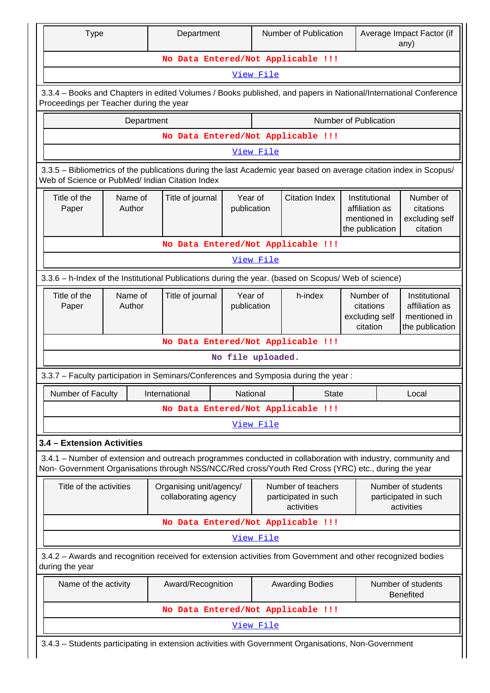| <b>Type</b>                             |                                    | Department                                                                                                                                                                                                         |                        |                   | Number of Publication                                    |                                                                    | Average Impact Factor (if<br>any)                                  |
|-----------------------------------------|------------------------------------|--------------------------------------------------------------------------------------------------------------------------------------------------------------------------------------------------------------------|------------------------|-------------------|----------------------------------------------------------|--------------------------------------------------------------------|--------------------------------------------------------------------|
|                                         |                                    | No Data Entered/Not Applicable !!!                                                                                                                                                                                 |                        |                   |                                                          |                                                                    |                                                                    |
|                                         |                                    |                                                                                                                                                                                                                    |                        | View File         |                                                          |                                                                    |                                                                    |
| Proceedings per Teacher during the year |                                    | 3.3.4 - Books and Chapters in edited Volumes / Books published, and papers in National/International Conference                                                                                                    |                        |                   |                                                          |                                                                    |                                                                    |
|                                         | Department                         |                                                                                                                                                                                                                    |                        |                   |                                                          | Number of Publication                                              |                                                                    |
|                                         |                                    | No Data Entered/Not Applicable !!!                                                                                                                                                                                 |                        |                   |                                                          |                                                                    |                                                                    |
|                                         |                                    |                                                                                                                                                                                                                    |                        | View File         |                                                          |                                                                    |                                                                    |
|                                         |                                    | 3.3.5 - Bibliometrics of the publications during the last Academic year based on average citation index in Scopus/<br>Web of Science or PubMed/ Indian Citation Index                                              |                        |                   |                                                          |                                                                    |                                                                    |
| Title of the<br>Paper                   | Name of<br>Author                  | Title of journal                                                                                                                                                                                                   | Year of<br>publication |                   | <b>Citation Index</b>                                    | Institutional<br>affiliation as<br>mentioned in<br>the publication | Number of<br>citations<br>excluding self<br>citation               |
|                                         |                                    | No Data Entered/Not Applicable !!!                                                                                                                                                                                 |                        |                   |                                                          |                                                                    |                                                                    |
|                                         | View File                          |                                                                                                                                                                                                                    |                        |                   |                                                          |                                                                    |                                                                    |
|                                         |                                    | 3.3.6 - h-Index of the Institutional Publications during the year. (based on Scopus/ Web of science)                                                                                                               |                        |                   |                                                          |                                                                    |                                                                    |
| Title of the<br>Paper                   | Name of<br>Author                  | Title of journal                                                                                                                                                                                                   | Year of<br>publication |                   | h-index                                                  | Number of<br>citations<br>excluding self<br>citation               | Institutional<br>affiliation as<br>mentioned in<br>the publication |
|                                         | No Data Entered/Not Applicable !!! |                                                                                                                                                                                                                    |                        |                   |                                                          |                                                                    |                                                                    |
|                                         |                                    |                                                                                                                                                                                                                    |                        | No file uploaded. |                                                          |                                                                    |                                                                    |
|                                         |                                    | 3.3.7 - Faculty participation in Seminars/Conferences and Symposia during the year:                                                                                                                                |                        |                   |                                                          |                                                                    |                                                                    |
| Number of Faculty                       |                                    | International                                                                                                                                                                                                      | National               |                   | State                                                    |                                                                    | Local                                                              |
|                                         |                                    | No Data Entered/Not Applicable !!!                                                                                                                                                                                 |                        |                   |                                                          |                                                                    |                                                                    |
|                                         |                                    |                                                                                                                                                                                                                    |                        | View File         |                                                          |                                                                    |                                                                    |
| 3.4 - Extension Activities              |                                    |                                                                                                                                                                                                                    |                        |                   |                                                          |                                                                    |                                                                    |
|                                         |                                    | 3.4.1 – Number of extension and outreach programmes conducted in collaboration with industry, community and<br>Non- Government Organisations through NSS/NCC/Red cross/Youth Red Cross (YRC) etc., during the year |                        |                   |                                                          |                                                                    |                                                                    |
| Title of the activities                 |                                    | Organising unit/agency/<br>collaborating agency                                                                                                                                                                    |                        |                   | Number of teachers<br>participated in such<br>activities |                                                                    | Number of students<br>participated in such<br>activities           |
|                                         |                                    | No Data Entered/Not Applicable !!!                                                                                                                                                                                 |                        |                   |                                                          |                                                                    |                                                                    |
|                                         |                                    |                                                                                                                                                                                                                    |                        | View File         |                                                          |                                                                    |                                                                    |
| during the year                         |                                    | 3.4.2 - Awards and recognition received for extension activities from Government and other recognized bodies                                                                                                       |                        |                   |                                                          |                                                                    |                                                                    |
| Name of the activity                    |                                    | Award/Recognition                                                                                                                                                                                                  |                        |                   | <b>Awarding Bodies</b>                                   |                                                                    | Number of students<br><b>Benefited</b>                             |
|                                         |                                    | No Data Entered/Not Applicable !!!                                                                                                                                                                                 |                        |                   |                                                          |                                                                    |                                                                    |
|                                         |                                    |                                                                                                                                                                                                                    |                        | View File         |                                                          |                                                                    |                                                                    |
|                                         |                                    | 3.4.3 - Students participating in extension activities with Government Organisations, Non-Government                                                                                                               |                        |                   |                                                          |                                                                    |                                                                    |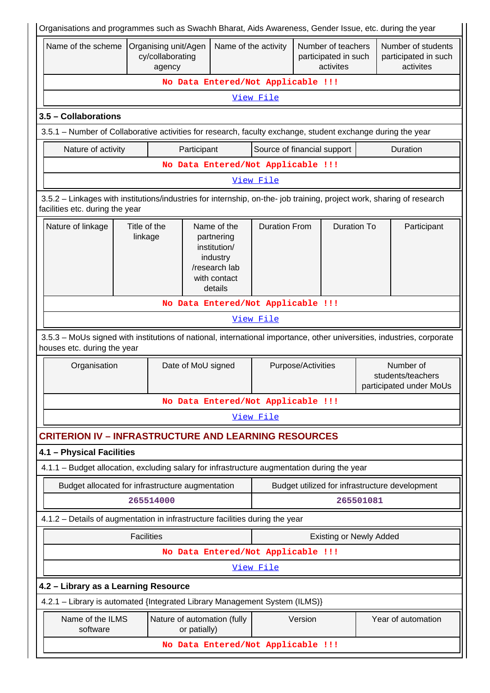|                                                                                                                                                          |                         |                                                    |                    |                                                                                                   |                                    |                    |                                                         |           | Organisations and programmes such as Swachh Bharat, Aids Awareness, Gender Issue, etc. during the year                 |
|----------------------------------------------------------------------------------------------------------------------------------------------------------|-------------------------|----------------------------------------------------|--------------------|---------------------------------------------------------------------------------------------------|------------------------------------|--------------------|---------------------------------------------------------|-----------|------------------------------------------------------------------------------------------------------------------------|
| Name of the scheme                                                                                                                                       |                         | Organising unit/Agen<br>cy/collaborating<br>agency |                    | Name of the activity                                                                              |                                    |                    | Number of teachers<br>participated in such<br>activites |           | Number of students<br>participated in such<br>activites                                                                |
|                                                                                                                                                          |                         |                                                    |                    |                                                                                                   | No Data Entered/Not Applicable !!! |                    |                                                         |           |                                                                                                                        |
|                                                                                                                                                          |                         |                                                    |                    |                                                                                                   | View File                          |                    |                                                         |           |                                                                                                                        |
| 3.5 - Collaborations                                                                                                                                     |                         |                                                    |                    |                                                                                                   |                                    |                    |                                                         |           |                                                                                                                        |
| 3.5.1 – Number of Collaborative activities for research, faculty exchange, student exchange during the year                                              |                         |                                                    |                    |                                                                                                   |                                    |                    |                                                         |           |                                                                                                                        |
| Nature of activity                                                                                                                                       |                         |                                                    | Participant        |                                                                                                   | Source of financial support        |                    |                                                         |           | Duration                                                                                                               |
|                                                                                                                                                          |                         |                                                    |                    |                                                                                                   | No Data Entered/Not Applicable !!! |                    |                                                         |           |                                                                                                                        |
|                                                                                                                                                          |                         |                                                    |                    |                                                                                                   | View File                          |                    |                                                         |           |                                                                                                                        |
| 3.5.2 - Linkages with institutions/industries for internship, on-the- job training, project work, sharing of research<br>facilities etc. during the year |                         |                                                    |                    |                                                                                                   |                                    |                    |                                                         |           |                                                                                                                        |
| Nature of linkage                                                                                                                                        | Title of the<br>linkage |                                                    |                    | Name of the<br>partnering<br>institution/<br>industry<br>/research lab<br>with contact<br>details | <b>Duration From</b>               |                    | <b>Duration To</b>                                      |           | Participant                                                                                                            |
|                                                                                                                                                          |                         |                                                    |                    |                                                                                                   | No Data Entered/Not Applicable !!! |                    |                                                         |           |                                                                                                                        |
|                                                                                                                                                          | View File               |                                                    |                    |                                                                                                   |                                    |                    |                                                         |           |                                                                                                                        |
|                                                                                                                                                          |                         |                                                    |                    |                                                                                                   |                                    |                    |                                                         |           |                                                                                                                        |
| houses etc. during the year                                                                                                                              |                         |                                                    |                    |                                                                                                   |                                    |                    |                                                         |           | 3.5.3 - MoUs signed with institutions of national, international importance, other universities, industries, corporate |
| Organisation                                                                                                                                             |                         |                                                    | Date of MoU signed |                                                                                                   |                                    | Purpose/Activities |                                                         |           | Number of<br>students/teachers<br>participated under MoUs                                                              |
|                                                                                                                                                          |                         |                                                    |                    |                                                                                                   | No Data Entered/Not Applicable !!! |                    |                                                         |           |                                                                                                                        |
|                                                                                                                                                          |                         |                                                    |                    |                                                                                                   | View File                          |                    |                                                         |           |                                                                                                                        |
| <b>CRITERION IV - INFRASTRUCTURE AND LEARNING RESOURCES</b>                                                                                              |                         |                                                    |                    |                                                                                                   |                                    |                    |                                                         |           |                                                                                                                        |
| 4.1 - Physical Facilities                                                                                                                                |                         |                                                    |                    |                                                                                                   |                                    |                    |                                                         |           |                                                                                                                        |
| 4.1.1 - Budget allocation, excluding salary for infrastructure augmentation during the year                                                              |                         |                                                    |                    |                                                                                                   |                                    |                    |                                                         |           |                                                                                                                        |
| Budget allocated for infrastructure augmentation                                                                                                         |                         |                                                    |                    |                                                                                                   |                                    |                    |                                                         |           | Budget utilized for infrastructure development                                                                         |
|                                                                                                                                                          |                         | 265514000                                          |                    |                                                                                                   |                                    |                    |                                                         | 265501081 |                                                                                                                        |
| 4.1.2 – Details of augmentation in infrastructure facilities during the year                                                                             |                         |                                                    |                    |                                                                                                   |                                    |                    |                                                         |           |                                                                                                                        |
|                                                                                                                                                          | <b>Facilities</b>       |                                                    |                    |                                                                                                   |                                    |                    | <b>Existing or Newly Added</b>                          |           |                                                                                                                        |
|                                                                                                                                                          |                         |                                                    |                    |                                                                                                   | No Data Entered/Not Applicable !!! |                    |                                                         |           |                                                                                                                        |
|                                                                                                                                                          |                         |                                                    |                    |                                                                                                   | View File                          |                    |                                                         |           |                                                                                                                        |
| 4.2 - Library as a Learning Resource                                                                                                                     |                         |                                                    |                    |                                                                                                   |                                    |                    |                                                         |           |                                                                                                                        |
| 4.2.1 - Library is automated {Integrated Library Management System (ILMS)}                                                                               |                         |                                                    |                    |                                                                                                   |                                    |                    |                                                         |           |                                                                                                                        |
| Name of the ILMS<br>software                                                                                                                             |                         |                                                    | or patially)       | Nature of automation (fully                                                                       |                                    | Version            |                                                         |           | Year of automation                                                                                                     |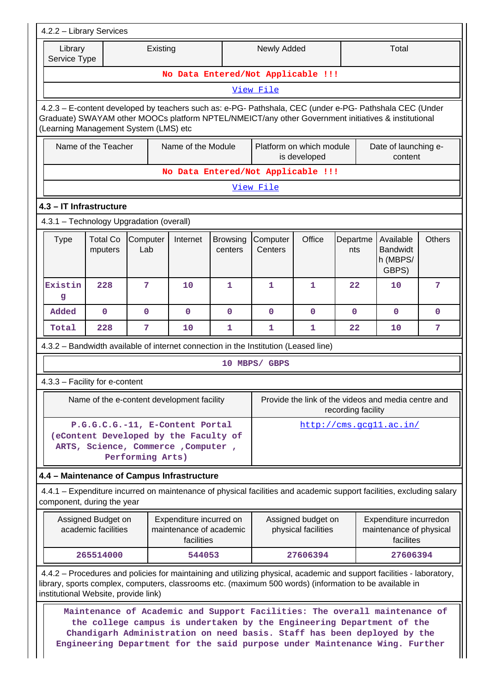|                         | 4.2.2 - Library Services                  |                                                                                                                                    |                                                                  |                            |                                                                                                                                                                                                                                                                                                               |                                           |                    |                                                                |               |
|-------------------------|-------------------------------------------|------------------------------------------------------------------------------------------------------------------------------------|------------------------------------------------------------------|----------------------------|---------------------------------------------------------------------------------------------------------------------------------------------------------------------------------------------------------------------------------------------------------------------------------------------------------------|-------------------------------------------|--------------------|----------------------------------------------------------------|---------------|
| Library<br>Service Type |                                           | Existing                                                                                                                           |                                                                  |                            | Newly Added                                                                                                                                                                                                                                                                                                   |                                           |                    | Total                                                          |               |
|                         |                                           |                                                                                                                                    |                                                                  |                            | No Data Entered/Not Applicable !!!                                                                                                                                                                                                                                                                            |                                           |                    |                                                                |               |
|                         |                                           |                                                                                                                                    |                                                                  |                            | View File                                                                                                                                                                                                                                                                                                     |                                           |                    |                                                                |               |
|                         |                                           | (Learning Management System (LMS) etc                                                                                              |                                                                  |                            | 4.2.3 - E-content developed by teachers such as: e-PG- Pathshala, CEC (under e-PG- Pathshala CEC (Under<br>Graduate) SWAYAM other MOOCs platform NPTEL/NMEICT/any other Government initiatives & institutional                                                                                                |                                           |                    |                                                                |               |
|                         | Name of the Teacher                       |                                                                                                                                    | Name of the Module                                               |                            |                                                                                                                                                                                                                                                                                                               | Platform on which module<br>is developed  |                    | Date of launching e-<br>content                                |               |
|                         |                                           |                                                                                                                                    |                                                                  |                            | No Data Entered/Not Applicable !!!                                                                                                                                                                                                                                                                            |                                           |                    |                                                                |               |
|                         |                                           |                                                                                                                                    |                                                                  |                            | View File                                                                                                                                                                                                                                                                                                     |                                           |                    |                                                                |               |
|                         | 4.3 - IT Infrastructure                   |                                                                                                                                    |                                                                  |                            |                                                                                                                                                                                                                                                                                                               |                                           |                    |                                                                |               |
|                         |                                           | 4.3.1 - Technology Upgradation (overall)                                                                                           |                                                                  |                            |                                                                                                                                                                                                                                                                                                               |                                           |                    |                                                                |               |
| <b>Type</b>             | <b>Total Co</b><br>mputers                | Computer<br>Lab                                                                                                                    | Internet                                                         | <b>Browsing</b><br>centers | Computer<br>Centers                                                                                                                                                                                                                                                                                           | Office                                    | Departme<br>nts    | Available<br><b>Bandwidt</b><br>h (MBPS/<br>GBPS)              | <b>Others</b> |
| Existin<br>g            | 228                                       | 7                                                                                                                                  | 10                                                               | 1                          | $\mathbf{1}$                                                                                                                                                                                                                                                                                                  | 1                                         | 22                 | 10                                                             | 7             |
| Added                   | $\mathbf 0$                               | $\mathbf 0$                                                                                                                        | $\mathbf 0$                                                      | $\mathbf 0$                | $\mathbf 0$                                                                                                                                                                                                                                                                                                   | $\mathbf{0}$                              | $\mathbf{0}$       | $\Omega$                                                       | $\mathbf 0$   |
| Total                   | 228                                       | 7                                                                                                                                  | 10                                                               | 1                          | 1                                                                                                                                                                                                                                                                                                             | 1                                         | 22                 | 10                                                             | 7             |
|                         |                                           |                                                                                                                                    |                                                                  |                            | 4.3.2 - Bandwidth available of internet connection in the Institution (Leased line)                                                                                                                                                                                                                           |                                           |                    |                                                                |               |
|                         |                                           |                                                                                                                                    |                                                                  |                            | 10 MBPS/ GBPS                                                                                                                                                                                                                                                                                                 |                                           |                    |                                                                |               |
|                         | 4.3.3 - Facility for e-content            |                                                                                                                                    |                                                                  |                            |                                                                                                                                                                                                                                                                                                               |                                           |                    |                                                                |               |
|                         |                                           | Name of the e-content development facility                                                                                         |                                                                  |                            |                                                                                                                                                                                                                                                                                                               |                                           | recording facility | Provide the link of the videos and media centre and            |               |
|                         |                                           | P.G.G.C.G.-11, E-Content Portal<br>(eContent Developed by the Faculty of<br>ARTS, Science, Commerce, Computer,<br>Performing Arts) |                                                                  |                            |                                                                                                                                                                                                                                                                                                               |                                           |                    | http://cms.gcg11.ac.in/                                        |               |
|                         |                                           | 4.4 - Maintenance of Campus Infrastructure                                                                                         |                                                                  |                            |                                                                                                                                                                                                                                                                                                               |                                           |                    |                                                                |               |
|                         | component, during the year                |                                                                                                                                    |                                                                  |                            | 4.4.1 – Expenditure incurred on maintenance of physical facilities and academic support facilities, excluding salary                                                                                                                                                                                          |                                           |                    |                                                                |               |
|                         | Assigned Budget on<br>academic facilities |                                                                                                                                    | Expenditure incurred on<br>maintenance of academic<br>facilities |                            |                                                                                                                                                                                                                                                                                                               | Assigned budget on<br>physical facilities |                    | Expenditure incurredon<br>maintenance of physical<br>facilites |               |
|                         | 265514000                                 |                                                                                                                                    | 544053                                                           |                            |                                                                                                                                                                                                                                                                                                               | 27606394                                  |                    | 27606394                                                       |               |
|                         | institutional Website, provide link)      |                                                                                                                                    |                                                                  |                            | 4.4.2 – Procedures and policies for maintaining and utilizing physical, academic and support facilities - laboratory,<br>library, sports complex, computers, classrooms etc. (maximum 500 words) (information to be available in                                                                              |                                           |                    |                                                                |               |
|                         |                                           |                                                                                                                                    |                                                                  |                            | Maintenance of Academic and Support Facilities: The overall maintenance of<br>the college campus is undertaken by the Engineering Department of the<br>Chandigarh Administration on need basis. Staff has been deployed by the<br>Engineering Department for the said purpose under Maintenance Wing. Further |                                           |                    |                                                                |               |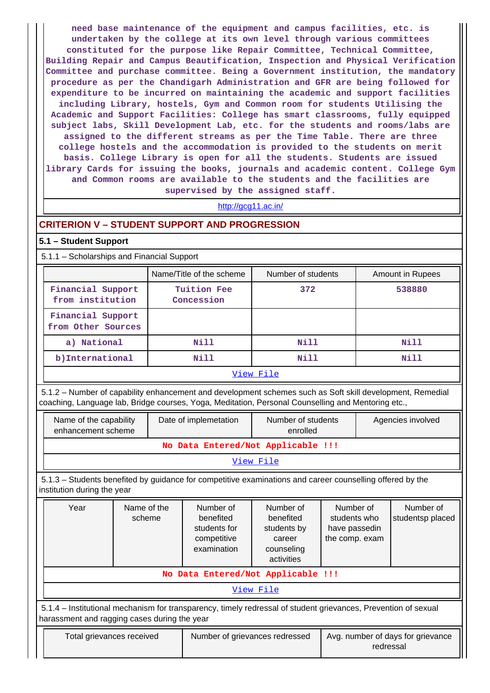**need base maintenance of the equipment and campus facilities, etc. is undertaken by the college at its own level through various committees constituted for the purpose like Repair Committee, Technical Committee, Building Repair and Campus Beautification, Inspection and Physical Verification Committee and purchase committee. Being a Government institution, the mandatory procedure as per the Chandigarh Administration and GFR are being followed for expenditure to be incurred on maintaining the academic and support facilities including Library, hostels, Gym and Common room for students Utilising the Academic and Support Facilities: College has smart classrooms, fully equipped subject labs, Skill Development Lab, etc. for the students and rooms/labs are assigned to the different streams as per the Time Table. There are three college hostels and the accommodation is provided to the students on merit basis. College Library is open for all the students. Students are issued library Cards for issuing the books, journals and academic content. College Gym and Common rooms are available to the students and the facilities are supervised by the assigned staff.**

# <http://gcg11.ac.in/>

### **CRITERION V – STUDENT SUPPORT AND PROGRESSION**

#### **5.1 – Student Support**

5.1.1 – Scholarships and Financial Support

|                    | Name/Title of the scheme | Number of students | Amount in Rupees |  |  |
|--------------------|--------------------------|--------------------|------------------|--|--|
|                    |                          |                    |                  |  |  |
| Financial Support  | Tuition Fee              | 372                | 538880           |  |  |
| from institution   | Concession               |                    |                  |  |  |
| Financial Support  |                          |                    |                  |  |  |
| from Other Sources |                          |                    |                  |  |  |
| a) National        | Nill                     | Nill               | Nill             |  |  |
| b) International   | Nill                     | Nill               | Nill             |  |  |
| View File          |                          |                    |                  |  |  |

 5.1.2 – Number of capability enhancement and development schemes such as Soft skill development, Remedial coaching, Language lab, Bridge courses, Yoga, Meditation, Personal Counselling and Mentoring etc.,

| Name of the capability<br>enhancement scheme | Date of implemetation | Number of students<br>enrolled | Agencies involved |  |  |
|----------------------------------------------|-----------------------|--------------------------------|-------------------|--|--|
| No Data Entered/Not Applicable !!!           |                       |                                |                   |  |  |
| View File                                    |                       |                                |                   |  |  |
|                                              |                       |                                |                   |  |  |

 5.1.3 – Students benefited by guidance for competitive examinations and career counselling offered by the institution during the year

|                                                                                                               | Year                                                                                                                                                           | Name of the<br>scheme | Number of<br>benefited<br>students for<br>competitive<br>examination | Number of<br>benefited<br>students by<br>career<br>counseling<br>activities | Number of<br>students who<br>have passedin<br>the comp. exam | Number of<br>studentsp placed |  |
|---------------------------------------------------------------------------------------------------------------|----------------------------------------------------------------------------------------------------------------------------------------------------------------|-----------------------|----------------------------------------------------------------------|-----------------------------------------------------------------------------|--------------------------------------------------------------|-------------------------------|--|
|                                                                                                               | No Data Entered/Not Applicable !!!                                                                                                                             |                       |                                                                      |                                                                             |                                                              |                               |  |
|                                                                                                               | View File                                                                                                                                                      |                       |                                                                      |                                                                             |                                                              |                               |  |
|                                                                                                               | 5.1.4 – Institutional mechanism for transparency, timely redressal of student grievances, Prevention of sexual<br>harassment and ragging cases during the year |                       |                                                                      |                                                                             |                                                              |                               |  |
| Avg. number of days for grievance<br>Number of grievances redressed<br>Total grievances received<br>redressal |                                                                                                                                                                |                       |                                                                      |                                                                             |                                                              |                               |  |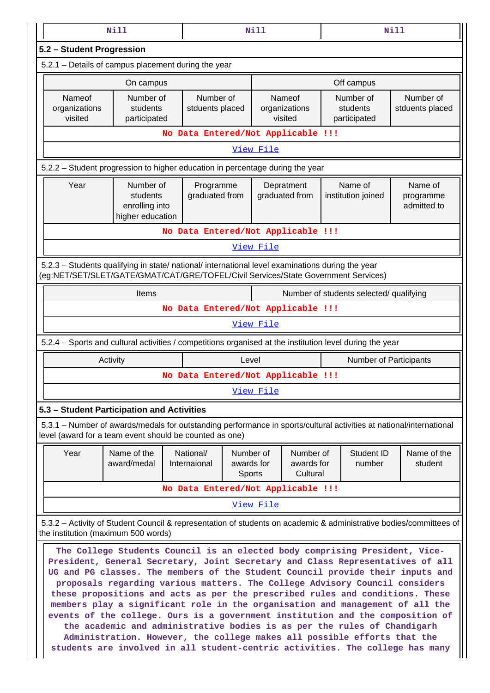|                                                                                                                                                           | <b>Nill</b>                                                                                                                                                                                                                                                                                                                                                                                                                                                                                                                                                                                                                                                                                                                                                                                                                 |                                    | <b>Nill</b>                       |                                         |                                       |                      | <b>Nill</b>                         |
|-----------------------------------------------------------------------------------------------------------------------------------------------------------|-----------------------------------------------------------------------------------------------------------------------------------------------------------------------------------------------------------------------------------------------------------------------------------------------------------------------------------------------------------------------------------------------------------------------------------------------------------------------------------------------------------------------------------------------------------------------------------------------------------------------------------------------------------------------------------------------------------------------------------------------------------------------------------------------------------------------------|------------------------------------|-----------------------------------|-----------------------------------------|---------------------------------------|----------------------|-------------------------------------|
| 5.2 - Student Progression                                                                                                                                 |                                                                                                                                                                                                                                                                                                                                                                                                                                                                                                                                                                                                                                                                                                                                                                                                                             |                                    |                                   |                                         |                                       |                      |                                     |
|                                                                                                                                                           | 5.2.1 - Details of campus placement during the year                                                                                                                                                                                                                                                                                                                                                                                                                                                                                                                                                                                                                                                                                                                                                                         |                                    |                                   |                                         |                                       |                      |                                     |
|                                                                                                                                                           | On campus                                                                                                                                                                                                                                                                                                                                                                                                                                                                                                                                                                                                                                                                                                                                                                                                                   |                                    |                                   |                                         | Off campus                            |                      |                                     |
| Nameof<br>organizations<br>visited                                                                                                                        | Number of<br>students<br>participated                                                                                                                                                                                                                                                                                                                                                                                                                                                                                                                                                                                                                                                                                                                                                                                       | Number of<br>stduents placed       |                                   | Nameof<br>organizations<br>visited      | Number of<br>students<br>participated |                      | Number of<br>stduents placed        |
|                                                                                                                                                           |                                                                                                                                                                                                                                                                                                                                                                                                                                                                                                                                                                                                                                                                                                                                                                                                                             | No Data Entered/Not Applicable !!! |                                   |                                         |                                       |                      |                                     |
|                                                                                                                                                           |                                                                                                                                                                                                                                                                                                                                                                                                                                                                                                                                                                                                                                                                                                                                                                                                                             |                                    | View File                         |                                         |                                       |                      |                                     |
|                                                                                                                                                           | 5.2.2 – Student progression to higher education in percentage during the year                                                                                                                                                                                                                                                                                                                                                                                                                                                                                                                                                                                                                                                                                                                                               |                                    |                                   |                                         |                                       |                      |                                     |
| Year                                                                                                                                                      | Number of<br>students<br>enrolling into<br>higher education                                                                                                                                                                                                                                                                                                                                                                                                                                                                                                                                                                                                                                                                                                                                                                 | Programme<br>graduated from        |                                   | Depratment<br>graduated from            | Name of<br>institution joined         |                      | Name of<br>programme<br>admitted to |
|                                                                                                                                                           |                                                                                                                                                                                                                                                                                                                                                                                                                                                                                                                                                                                                                                                                                                                                                                                                                             | No Data Entered/Not Applicable !!! |                                   |                                         |                                       |                      |                                     |
|                                                                                                                                                           |                                                                                                                                                                                                                                                                                                                                                                                                                                                                                                                                                                                                                                                                                                                                                                                                                             |                                    | View File                         |                                         |                                       |                      |                                     |
|                                                                                                                                                           | 5.2.3 - Students qualifying in state/ national/ international level examinations during the year<br>(eg:NET/SET/SLET/GATE/GMAT/CAT/GRE/TOFEL/Civil Services/State Government Services)                                                                                                                                                                                                                                                                                                                                                                                                                                                                                                                                                                                                                                      |                                    |                                   |                                         |                                       |                      |                                     |
|                                                                                                                                                           | Items                                                                                                                                                                                                                                                                                                                                                                                                                                                                                                                                                                                                                                                                                                                                                                                                                       |                                    |                                   | Number of students selected/ qualifying |                                       |                      |                                     |
|                                                                                                                                                           |                                                                                                                                                                                                                                                                                                                                                                                                                                                                                                                                                                                                                                                                                                                                                                                                                             | No Data Entered/Not Applicable !!! |                                   |                                         |                                       |                      |                                     |
|                                                                                                                                                           |                                                                                                                                                                                                                                                                                                                                                                                                                                                                                                                                                                                                                                                                                                                                                                                                                             |                                    | View File                         |                                         |                                       |                      |                                     |
|                                                                                                                                                           | 5.2.4 - Sports and cultural activities / competitions organised at the institution level during the year                                                                                                                                                                                                                                                                                                                                                                                                                                                                                                                                                                                                                                                                                                                    |                                    |                                   |                                         |                                       |                      |                                     |
|                                                                                                                                                           | Activity                                                                                                                                                                                                                                                                                                                                                                                                                                                                                                                                                                                                                                                                                                                                                                                                                    |                                    | Level                             | <b>Number of Participants</b>           |                                       |                      |                                     |
|                                                                                                                                                           |                                                                                                                                                                                                                                                                                                                                                                                                                                                                                                                                                                                                                                                                                                                                                                                                                             | No Data Entered/Not Applicable !!! |                                   |                                         |                                       |                      |                                     |
|                                                                                                                                                           |                                                                                                                                                                                                                                                                                                                                                                                                                                                                                                                                                                                                                                                                                                                                                                                                                             |                                    | View File                         |                                         |                                       |                      |                                     |
|                                                                                                                                                           | 5.3 - Student Participation and Activities                                                                                                                                                                                                                                                                                                                                                                                                                                                                                                                                                                                                                                                                                                                                                                                  |                                    |                                   |                                         |                                       |                      |                                     |
|                                                                                                                                                           | 5.3.1 – Number of awards/medals for outstanding performance in sports/cultural activities at national/international<br>level (award for a team event should be counted as one)                                                                                                                                                                                                                                                                                                                                                                                                                                                                                                                                                                                                                                              |                                    |                                   |                                         |                                       |                      |                                     |
| Year                                                                                                                                                      | Name of the<br>award/medal                                                                                                                                                                                                                                                                                                                                                                                                                                                                                                                                                                                                                                                                                                                                                                                                  | National/<br>Internaional          | Number of<br>awards for<br>Sports | Number of<br>awards for<br>Cultural     |                                       | Student ID<br>number | Name of the<br>student              |
|                                                                                                                                                           | No Data Entered/Not Applicable !!!                                                                                                                                                                                                                                                                                                                                                                                                                                                                                                                                                                                                                                                                                                                                                                                          |                                    |                                   |                                         |                                       |                      |                                     |
|                                                                                                                                                           | View File                                                                                                                                                                                                                                                                                                                                                                                                                                                                                                                                                                                                                                                                                                                                                                                                                   |                                    |                                   |                                         |                                       |                      |                                     |
| 5.3.2 – Activity of Student Council & representation of students on academic & administrative bodies/committees of<br>the institution (maximum 500 words) |                                                                                                                                                                                                                                                                                                                                                                                                                                                                                                                                                                                                                                                                                                                                                                                                                             |                                    |                                   |                                         |                                       |                      |                                     |
|                                                                                                                                                           | The College Students Council is an elected body comprising President, Vice-<br>President, General Secretary, Joint Secretary and Class Representatives of all<br>UG and PG classes. The members of the Student Council provide their inputs and<br>proposals regarding various matters. The College Advisory Council considers<br>these propositions and acts as per the prescribed rules and conditions. These<br>members play a significant role in the organisation and management of all the<br>events of the college. Ours is a government institution and the composition of<br>the academic and administrative bodies is as per the rules of Chandigarh<br>Administration. However, the college makes all possible efforts that the<br>students are involved in all student-centric activities. The college has many |                                    |                                   |                                         |                                       |                      |                                     |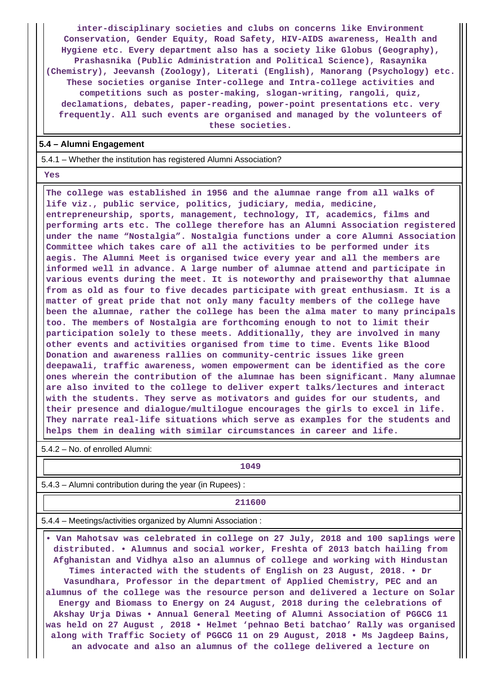**inter-disciplinary societies and clubs on concerns like Environment Conservation, Gender Equity, Road Safety, HIV-AIDS awareness, Health and Hygiene etc. Every department also has a society like Globus (Geography), Prashasnika (Public Administration and Political Science), Rasaynika (Chemistry), Jeevansh (Zoology), Literati (English), Manorang (Psychology) etc. These societies organise Inter-college and Intra-college activities and competitions such as poster-making, slogan-writing, rangoli, quiz, declamations, debates, paper-reading, power-point presentations etc. very frequently. All such events are organised and managed by the volunteers of these societies.**

#### **5.4 – Alumni Engagement**

5.4.1 – Whether the institution has registered Alumni Association?

 **Yes**

 **The college was established in 1956 and the alumnae range from all walks of life viz., public service, politics, judiciary, media, medicine, entrepreneurship, sports, management, technology, IT, academics, films and performing arts etc. The college therefore has an Alumni Association registered under the name "Nostalgia". Nostalgia functions under a core Alumni Association Committee which takes care of all the activities to be performed under its aegis. The Alumni Meet is organised twice every year and all the members are informed well in advance. A large number of alumnae attend and participate in various events during the meet. It is noteworthy and praiseworthy that alumnae from as old as four to five decades participate with great enthusiasm. It is a matter of great pride that not only many faculty members of the college have been the alumnae, rather the college has been the alma mater to many principals too. The members of Nostalgia are forthcoming enough to not to limit their participation solely to these meets. Additionally, they are involved in many other events and activities organised from time to time. Events like Blood Donation and awareness rallies on community-centric issues like green deepawali, traffic awareness, women empowerment can be identified as the core ones wherein the contribution of the alumnae has been significant. Many alumnae are also invited to the college to deliver expert talks/lectures and interact with the students. They serve as motivators and guides for our students, and their presence and dialogue/multilogue encourages the girls to excel in life. They narrate real-life situations which serve as examples for the students and helps them in dealing with similar circumstances in career and life.**

5.4.2 – No. of enrolled Alumni:

**1049**

5.4.3 – Alumni contribution during the year (in Rupees) :

**211600** 

5.4.4 – Meetings/activities organized by Alumni Association :

 **• Van Mahotsav was celebrated in college on 27 July, 2018 and 100 saplings were distributed. • Alumnus and social worker, Freshta of 2013 batch hailing from Afghanistan and Vidhya also an alumnus of college and working with Hindustan Times interacted with the students of English on 23 August, 2018. • Dr Vasundhara, Professor in the department of Applied Chemistry, PEC and an alumnus of the college was the resource person and delivered a lecture on Solar Energy and Biomass to Energy on 24 August, 2018 during the celebrations of Akshay Urja Diwas • Annual General Meeting of Alumni Association of PGGCG 11 was held on 27 August , 2018 • Helmet 'pehnao Beti batchao' Rally was organised along with Traffic Society of PGGCG 11 on 29 August, 2018 • Ms Jagdeep Bains, an advocate and also an alumnus of the college delivered a lecture on**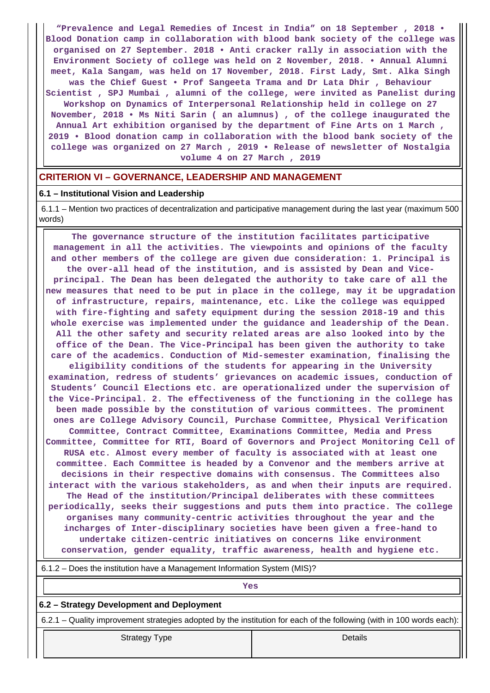**"Prevalence and Legal Remedies of Incest in India" on 18 September , 2018 • Blood Donation camp in collaboration with blood bank society of the college was organised on 27 September. 2018 • Anti cracker rally in association with the Environment Society of college was held on 2 November, 2018. • Annual Alumni meet, Kala Sangam, was held on 17 November, 2018. First Lady, Smt. Alka Singh was the Chief Guest • Prof Sangeeta Trama and Dr Lata Dhir , Behaviour Scientist , SPJ Mumbai , alumni of the college, were invited as Panelist during Workshop on Dynamics of Interpersonal Relationship held in college on 27 November, 2018 • Ms Niti Sarin ( an alumnus) , of the college inaugurated the Annual Art exhibition organised by the department of Fine Arts on 1 March , 2019 • Blood donation camp in collaboration with the blood bank society of the college was organized on 27 March , 2019 • Release of newsletter of Nostalgia volume 4 on 27 March , 2019**

## **CRITERION VI – GOVERNANCE, LEADERSHIP AND MANAGEMENT**

#### **6.1 – Institutional Vision and Leadership**

 6.1.1 – Mention two practices of decentralization and participative management during the last year (maximum 500 words)

 **The governance structure of the institution facilitates participative management in all the activities. The viewpoints and opinions of the faculty and other members of the college are given due consideration: 1. Principal is the over-all head of the institution, and is assisted by Dean and Viceprincipal. The Dean has been delegated the authority to take care of all the new measures that need to be put in place in the college, may it be upgradation of infrastructure, repairs, maintenance, etc. Like the college was equipped with fire-fighting and safety equipment during the session 2018-19 and this whole exercise was implemented under the guidance and leadership of the Dean. All the other safety and security related areas are also looked into by the office of the Dean. The Vice-Principal has been given the authority to take care of the academics. Conduction of Mid-semester examination, finalising the eligibility conditions of the students for appearing in the University examination, redress of students' grievances on academic issues, conduction of Students' Council Elections etc. are operationalized under the supervision of the Vice-Principal. 2. The effectiveness of the functioning in the college has been made possible by the constitution of various committees. The prominent ones are College Advisory Council, Purchase Committee, Physical Verification Committee, Contract Committee, Examinations Committee, Media and Press Committee, Committee for RTI, Board of Governors and Project Monitoring Cell of RUSA etc. Almost every member of faculty is associated with at least one committee. Each Committee is headed by a Convenor and the members arrive at decisions in their respective domains with consensus. The Committees also interact with the various stakeholders, as and when their inputs are required. The Head of the institution/Principal deliberates with these committees periodically, seeks their suggestions and puts them into practice. The college organises many community-centric activities throughout the year and the incharges of Inter-disciplinary societies have been given a free-hand to undertake citizen-centric initiatives on concerns like environment conservation, gender equality, traffic awareness, health and hygiene etc.**

| 6.1.2 – Does the institution have a Management Information System (MIS)?                                              |         |  |  |  |  |
|-----------------------------------------------------------------------------------------------------------------------|---------|--|--|--|--|
| Yes                                                                                                                   |         |  |  |  |  |
| 6.2 – Strategy Development and Deployment                                                                             |         |  |  |  |  |
| 6.2.1 – Quality improvement strategies adopted by the institution for each of the following (with in 100 words each): |         |  |  |  |  |
| <b>Strategy Type</b>                                                                                                  | Details |  |  |  |  |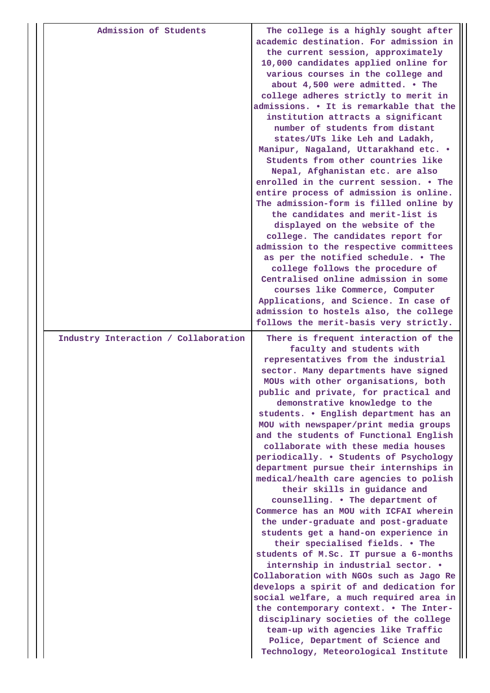| academic destination. For admission in<br>the current session, approximately<br>10,000 candidates applied online for<br>various courses in the college and<br>about 4,500 were admitted. . The<br>college adheres strictly to merit in<br>institution attracts a significant<br>number of students from distant<br>states/UTs like Leh and Ladakh,<br>Manipur, Nagaland, Uttarakhand etc. .<br>Students from other countries like<br>Nepal, Afghanistan etc. are also<br>enrolled in the current session. • The<br>entire process of admission is online.<br>The admission-form is filled online by<br>the candidates and merit-list is<br>displayed on the website of the<br>college. The candidates report for<br>admission to the respective committees<br>as per the notified schedule. . The<br>college follows the procedure of<br>Centralised online admission in some<br>courses like Commerce, Computer<br>Applications, and Science. In case of<br>admission to hostels also, the college<br>follows the merit-basis very strictly.<br>Industry Interaction / Collaboration<br>There is frequent interaction of the<br>faculty and students with<br>representatives from the industrial<br>sector. Many departments have signed<br>MOUs with other organisations, both<br>public and private, for practical and<br>demonstrative knowledge to the<br>students. . English department has an<br>MOU with newspaper/print media groups<br>and the students of Functional English<br>collaborate with these media houses<br>periodically. . Students of Psychology<br>department pursue their internships in<br>medical/health care agencies to polish<br>their skills in guidance and<br>counselling. . The department of<br>Commerce has an MOU with ICFAI wherein<br>the under-graduate and post-graduate<br>students get a hand-on experience in<br>their specialised fields. . The<br>students of M.Sc. IT pursue a 6-months<br>internship in industrial sector. .<br>the contemporary context. . The Inter-<br>disciplinary societies of the college |                       |                                                                                                                               |
|------------------------------------------------------------------------------------------------------------------------------------------------------------------------------------------------------------------------------------------------------------------------------------------------------------------------------------------------------------------------------------------------------------------------------------------------------------------------------------------------------------------------------------------------------------------------------------------------------------------------------------------------------------------------------------------------------------------------------------------------------------------------------------------------------------------------------------------------------------------------------------------------------------------------------------------------------------------------------------------------------------------------------------------------------------------------------------------------------------------------------------------------------------------------------------------------------------------------------------------------------------------------------------------------------------------------------------------------------------------------------------------------------------------------------------------------------------------------------------------------------------------------------------------------------------------------------------------------------------------------------------------------------------------------------------------------------------------------------------------------------------------------------------------------------------------------------------------------------------------------------------------------------------------------------------------------------------------------------------------------------------------------------------------------------------------|-----------------------|-------------------------------------------------------------------------------------------------------------------------------|
|                                                                                                                                                                                                                                                                                                                                                                                                                                                                                                                                                                                                                                                                                                                                                                                                                                                                                                                                                                                                                                                                                                                                                                                                                                                                                                                                                                                                                                                                                                                                                                                                                                                                                                                                                                                                                                                                                                                                                                                                                                                                  | Admission of Students | The college is a highly sought after<br>admissions. • It is remarkable that the                                               |
|                                                                                                                                                                                                                                                                                                                                                                                                                                                                                                                                                                                                                                                                                                                                                                                                                                                                                                                                                                                                                                                                                                                                                                                                                                                                                                                                                                                                                                                                                                                                                                                                                                                                                                                                                                                                                                                                                                                                                                                                                                                                  |                       |                                                                                                                               |
|                                                                                                                                                                                                                                                                                                                                                                                                                                                                                                                                                                                                                                                                                                                                                                                                                                                                                                                                                                                                                                                                                                                                                                                                                                                                                                                                                                                                                                                                                                                                                                                                                                                                                                                                                                                                                                                                                                                                                                                                                                                                  |                       |                                                                                                                               |
|                                                                                                                                                                                                                                                                                                                                                                                                                                                                                                                                                                                                                                                                                                                                                                                                                                                                                                                                                                                                                                                                                                                                                                                                                                                                                                                                                                                                                                                                                                                                                                                                                                                                                                                                                                                                                                                                                                                                                                                                                                                                  |                       |                                                                                                                               |
|                                                                                                                                                                                                                                                                                                                                                                                                                                                                                                                                                                                                                                                                                                                                                                                                                                                                                                                                                                                                                                                                                                                                                                                                                                                                                                                                                                                                                                                                                                                                                                                                                                                                                                                                                                                                                                                                                                                                                                                                                                                                  |                       |                                                                                                                               |
|                                                                                                                                                                                                                                                                                                                                                                                                                                                                                                                                                                                                                                                                                                                                                                                                                                                                                                                                                                                                                                                                                                                                                                                                                                                                                                                                                                                                                                                                                                                                                                                                                                                                                                                                                                                                                                                                                                                                                                                                                                                                  |                       |                                                                                                                               |
| team-up with agencies like Traffic<br>Police, Department of Science and                                                                                                                                                                                                                                                                                                                                                                                                                                                                                                                                                                                                                                                                                                                                                                                                                                                                                                                                                                                                                                                                                                                                                                                                                                                                                                                                                                                                                                                                                                                                                                                                                                                                                                                                                                                                                                                                                                                                                                                          |                       | Collaboration with NGOs such as Jago Re<br>develops a spirit of and dedication for<br>social welfare, a much required area in |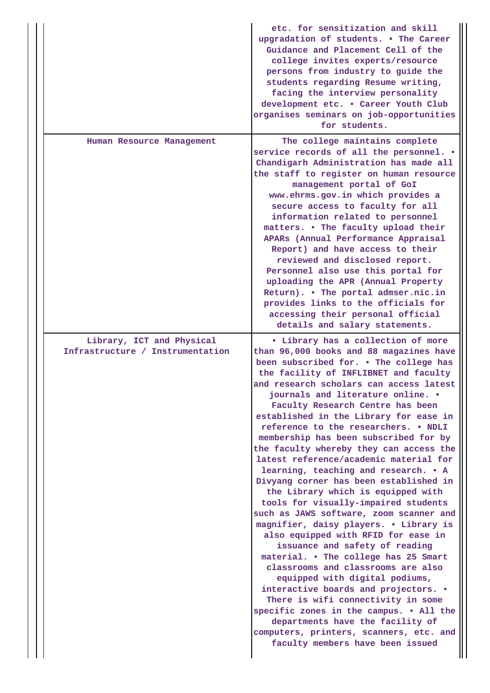|                                                               | etc. for sensitization and skill<br>upgradation of students. . The Career<br>Guidance and Placement Cell of the<br>college invites experts/resource<br>persons from industry to guide the<br>students regarding Resume writing,<br>facing the interview personality<br>development etc. . Career Youth Club<br>organises seminars on job-opportunities<br>for students.                                                                                                                                                                                                                                                                                                                                                                                                                                                                                                                                                                                                                                                                                                                                                                                                                        |
|---------------------------------------------------------------|------------------------------------------------------------------------------------------------------------------------------------------------------------------------------------------------------------------------------------------------------------------------------------------------------------------------------------------------------------------------------------------------------------------------------------------------------------------------------------------------------------------------------------------------------------------------------------------------------------------------------------------------------------------------------------------------------------------------------------------------------------------------------------------------------------------------------------------------------------------------------------------------------------------------------------------------------------------------------------------------------------------------------------------------------------------------------------------------------------------------------------------------------------------------------------------------|
| Human Resource Management                                     | The college maintains complete<br>service records of all the personnel. .<br>Chandigarh Administration has made all<br>the staff to register on human resource<br>management portal of GoI<br>www.ehrms.gov.in which provides a<br>secure access to faculty for all<br>information related to personnel<br>matters. . The faculty upload their<br>APARs (Annual Performance Appraisal<br>Report) and have access to their<br>reviewed and disclosed report.<br>Personnel also use this portal for<br>uploading the APR (Annual Property<br>Return). . The portal admser.nic.in<br>provides links to the officials for<br>accessing their personal official<br>details and salary statements.                                                                                                                                                                                                                                                                                                                                                                                                                                                                                                   |
| Library, ICT and Physical<br>Infrastructure / Instrumentation | • Library has a collection of more<br>than 96,000 books and 88 magazines have<br>been subscribed for. . The college has<br>the facility of INFLIBNET and faculty<br>and research scholars can access latest<br>journals and literature online. .<br>Faculty Research Centre has been<br>established in the Library for ease in<br>reference to the researchers. . NDLI<br>membership has been subscribed for by<br>the faculty whereby they can access the<br>latest reference/academic material for<br>learning, teaching and research. . A<br>Divyang corner has been established in<br>the Library which is equipped with<br>tools for visually-impaired students<br>such as JAWS software, zoom scanner and<br>magnifier, daisy players. . Library is<br>also equipped with RFID for ease in<br>issuance and safety of reading<br>material. . The college has 25 Smart<br>classrooms and classrooms are also<br>equipped with digital podiums,<br>interactive boards and projectors. .<br>There is wifi connectivity in some<br>specific zones in the campus. . All the<br>departments have the facility of<br>computers, printers, scanners, etc. and<br>faculty members have been issued |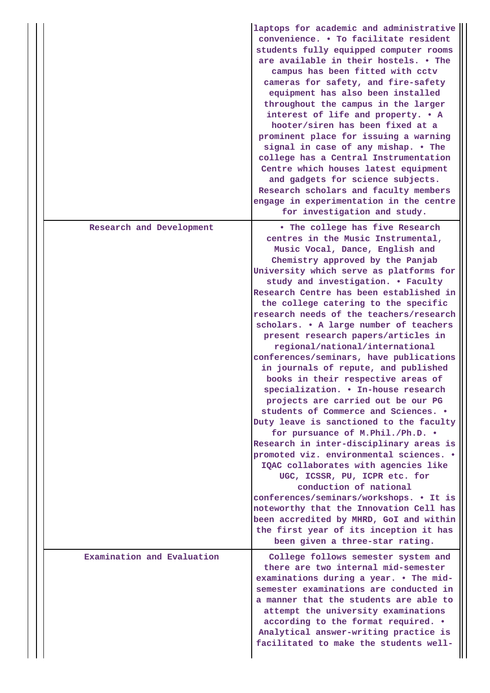|                            | laptops for academic and administrative<br>convenience. . To facilitate resident<br>students fully equipped computer rooms<br>are available in their hostels. • The<br>campus has been fitted with cctv<br>cameras for safety, and fire-safety<br>equipment has also been installed<br>throughout the campus in the larger<br>interest of life and property. . A<br>hooter/siren has been fixed at a<br>prominent place for issuing a warning<br>signal in case of any mishap. . The<br>college has a Central Instrumentation<br>Centre which houses latest equipment<br>and gadgets for science subjects.<br>Research scholars and faculty members<br>engage in experimentation in the centre<br>for investigation and study.                                                                                                                                                                                                                                                                                                                                                                                                                                                                                      |
|----------------------------|---------------------------------------------------------------------------------------------------------------------------------------------------------------------------------------------------------------------------------------------------------------------------------------------------------------------------------------------------------------------------------------------------------------------------------------------------------------------------------------------------------------------------------------------------------------------------------------------------------------------------------------------------------------------------------------------------------------------------------------------------------------------------------------------------------------------------------------------------------------------------------------------------------------------------------------------------------------------------------------------------------------------------------------------------------------------------------------------------------------------------------------------------------------------------------------------------------------------|
| Research and Development   | . The college has five Research<br>centres in the Music Instrumental,<br>Music Vocal, Dance, English and<br>Chemistry approved by the Panjab<br>University which serve as platforms for<br>study and investigation. . Faculty<br>Research Centre has been established in<br>the college catering to the specific<br>research needs of the teachers/research<br>scholars. . A large number of teachers<br>present research papers/articles in<br>regional/national/international<br>conferences/seminars, have publications<br>in journals of repute, and published<br>books in their respective areas of<br>specialization. . In-house research<br>projects are carried out be our PG<br>students of Commerce and Sciences. .<br>Duty leave is sanctioned to the faculty<br>for pursuance of M.Phil./Ph.D. .<br>Research in inter-disciplinary areas is<br>promoted viz. environmental sciences. .<br>IQAC collaborates with agencies like<br>UGC, ICSSR, PU, ICPR etc. for<br>conduction of national<br>conferences/seminars/workshops. • It is<br>noteworthy that the Innovation Cell has<br>been accredited by MHRD, GoI and within<br>the first year of its inception it has<br>been given a three-star rating. |
| Examination and Evaluation | College follows semester system and<br>there are two internal mid-semester<br>examinations during a year. . The mid-<br>semester examinations are conducted in<br>a manner that the students are able to<br>attempt the university examinations<br>according to the format required. .<br>Analytical answer-writing practice is<br>facilitated to make the students well-                                                                                                                                                                                                                                                                                                                                                                                                                                                                                                                                                                                                                                                                                                                                                                                                                                           |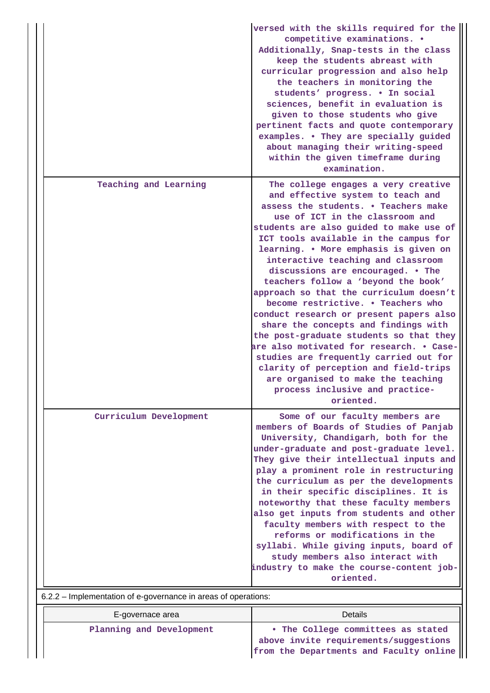|                                                                                          | sciences, benefit in evaluation is<br>given to those students who give<br>pertinent facts and quote contemporary<br>examples. . They are specially guided<br>about managing their writing-speed<br>within the given timeframe during<br>examination.                                                                                                                                                                                                                                                                                                                                                                                                                                                                                                                                                                                   |
|------------------------------------------------------------------------------------------|----------------------------------------------------------------------------------------------------------------------------------------------------------------------------------------------------------------------------------------------------------------------------------------------------------------------------------------------------------------------------------------------------------------------------------------------------------------------------------------------------------------------------------------------------------------------------------------------------------------------------------------------------------------------------------------------------------------------------------------------------------------------------------------------------------------------------------------|
| Teaching and Learning                                                                    | The college engages a very creative<br>and effective system to teach and<br>assess the students. . Teachers make<br>use of ICT in the classroom and<br>students are also guided to make use of<br>ICT tools available in the campus for<br>learning. . More emphasis is given on<br>interactive teaching and classroom<br>discussions are encouraged. . The<br>teachers follow a 'beyond the book'<br>approach so that the curriculum doesn't<br>become restrictive. . Teachers who<br>conduct research or present papers also<br>share the concepts and findings with<br>the post-graduate students so that they<br>are also motivated for research. . Case-<br>studies are frequently carried out for<br>clarity of perception and field-trips<br>are organised to make the teaching<br>process inclusive and practice-<br>oriented. |
| Curriculum Development<br>6.2.2 - Implementation of e-governance in areas of operations: | Some of our faculty members are<br>members of Boards of Studies of Panjab<br>University, Chandigarh, both for the<br>under-graduate and post-graduate level.<br>They give their intellectual inputs and<br>play a prominent role in restructuring<br>the curriculum as per the developments<br>in their specific disciplines. It is<br>noteworthy that these faculty members<br>also get inputs from students and other<br>faculty members with respect to the<br>reforms or modifications in the<br>syllabi. While giving inputs, board of<br>study members also interact with<br>industry to make the course-content job-<br>oriented.                                                                                                                                                                                               |

| E-governace area         | Details                                                                                                                |
|--------------------------|------------------------------------------------------------------------------------------------------------------------|
| Planning and Development | • The College committees as stated<br>above invite requirements/suggestions<br>from the Departments and Faculty online |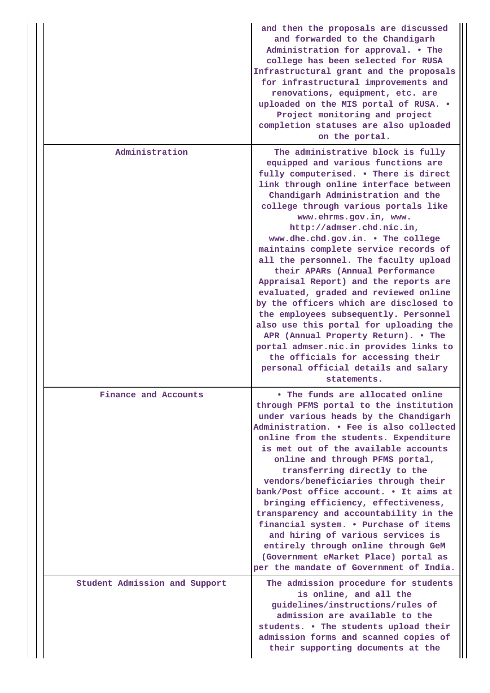|                               | and then the proposals are discussed<br>and forwarded to the Chandigarh<br>Administration for approval. • The<br>college has been selected for RUSA<br>Infrastructural grant and the proposals<br>for infrastructural improvements and<br>renovations, equipment, etc. are<br>uploaded on the MIS portal of RUSA. .<br>Project monitoring and project<br>completion statuses are also uploaded<br>on the portal.                                                                                                                                                                                                                                                                                                                                                                                                                                    |
|-------------------------------|-----------------------------------------------------------------------------------------------------------------------------------------------------------------------------------------------------------------------------------------------------------------------------------------------------------------------------------------------------------------------------------------------------------------------------------------------------------------------------------------------------------------------------------------------------------------------------------------------------------------------------------------------------------------------------------------------------------------------------------------------------------------------------------------------------------------------------------------------------|
| Administration                | The administrative block is fully<br>equipped and various functions are<br>fully computerised. . There is direct<br>link through online interface between<br>Chandigarh Administration and the<br>college through various portals like<br>www.ehrms.gov.in, www.<br>http://admser.chd.nic.in,<br>www.dhe.chd.gov.in. . The college<br>maintains complete service records of<br>all the personnel. The faculty upload<br>their APARs (Annual Performance<br>Appraisal Report) and the reports are<br>evaluated, graded and reviewed online<br>by the officers which are disclosed to<br>the employees subsequently. Personnel<br>also use this portal for uploading the<br>APR (Annual Property Return). . The<br>portal admser.nic.in provides links to<br>the officials for accessing their<br>personal official details and salary<br>statements. |
| Finance and Accounts          | • The funds are allocated online<br>through PFMS portal to the institution<br>under various heads by the Chandigarh<br>Administration. . Fee is also collected<br>online from the students. Expenditure<br>is met out of the available accounts<br>online and through PFMS portal,<br>transferring directly to the<br>vendors/beneficiaries through their<br>bank/Post office account. . It aims at<br>bringing efficiency, effectiveness,<br>transparency and accountability in the<br>financial system. . Purchase of items<br>and hiring of various services is<br>entirely through online through GeM<br>(Government eMarket Place) portal as<br>per the mandate of Government of India.                                                                                                                                                        |
| Student Admission and Support | The admission procedure for students<br>is online, and all the<br>guidelines/instructions/rules of<br>admission are available to the<br>students. . The students upload their<br>admission forms and scanned copies of<br>their supporting documents at the                                                                                                                                                                                                                                                                                                                                                                                                                                                                                                                                                                                         |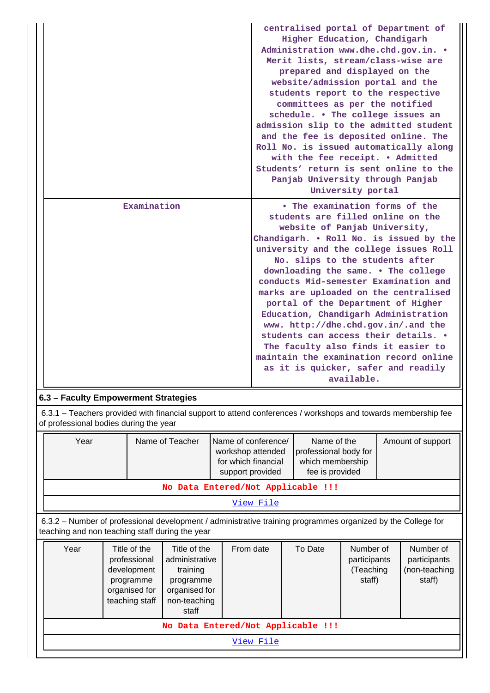|             | centralised portal of Department of<br>Higher Education, Chandigarh<br>Administration www.dhe.chd.gov.in. .<br>Merit lists, stream/class-wise are<br>prepared and displayed on the<br>website/admission portal and the<br>students report to the respective<br>committees as per the notified<br>schedule. . The college issues an<br>admission slip to the admitted student<br>and the fee is deposited online. The<br>Roll No. is issued automatically along<br>with the fee receipt. . Admitted<br>Students' return is sent online to the<br>Panjab University through Panjab<br>University portal                                                    |
|-------------|----------------------------------------------------------------------------------------------------------------------------------------------------------------------------------------------------------------------------------------------------------------------------------------------------------------------------------------------------------------------------------------------------------------------------------------------------------------------------------------------------------------------------------------------------------------------------------------------------------------------------------------------------------|
| Examination | • The examination forms of the<br>students are filled online on the<br>website of Panjab University,<br>Chandigarh. . Roll No. is issued by the<br>university and the college issues Roll<br>No. slips to the students after<br>downloading the same. . The college<br>conducts Mid-semester Examination and<br>marks are uploaded on the centralised<br>portal of the Department of Higher<br>Education, Chandigarh Administration<br>www. http://dhe.chd.gov.in/.and the<br>students can access their details. .<br>The faculty also finds it easier to<br>maintain the examination record online<br>as it is quicker, safer and readily<br>available. |

# **6.3 – Faculty Empowerment Strategies**

 6.3.1 – Teachers provided with financial support to attend conferences / workshops and towards membership fee of professional bodies during the year

|  | Year                                        | Name of Teacher     | Name of conference/ | Name of the           | Amount of support |  |  |
|--|---------------------------------------------|---------------------|---------------------|-----------------------|-------------------|--|--|
|  |                                             |                     | workshop attended   | professional body for |                   |  |  |
|  |                                             | for which financial | which membership    |                       |                   |  |  |
|  | fee is provided<br>support provided         |                     |                     |                       |                   |  |  |
|  | 医肌肉 网络大小小小 网络小小小小小 医眼镜检查法 医神经病 医马氏试验检尿 医下颌骨 |                     |                     |                       |                   |  |  |

**No Data Entered/Not Applicable !!!**

[View File](https://assessmentonline.naac.gov.in/public/Postacc/Faculty_Emp/4577_Faculty_Emp_1620200976.xlsx)

 6.3.2 – Number of professional development / administrative training programmes organized by the College for teaching and non teaching staff during the year

| Year                               | Title of the<br>professional<br>development<br>programme<br>organised for<br>teaching staff | Title of the<br>administrative<br>training<br>programme<br>organised for<br>non-teaching<br>staff | From date | To Date | Number of<br>participants<br>(Teaching<br>staff) | Number of<br>participants<br>(non-teaching<br>staff) |  |  |
|------------------------------------|---------------------------------------------------------------------------------------------|---------------------------------------------------------------------------------------------------|-----------|---------|--------------------------------------------------|------------------------------------------------------|--|--|
| No Data Entered/Not Applicable !!! |                                                                                             |                                                                                                   |           |         |                                                  |                                                      |  |  |
| View File                          |                                                                                             |                                                                                                   |           |         |                                                  |                                                      |  |  |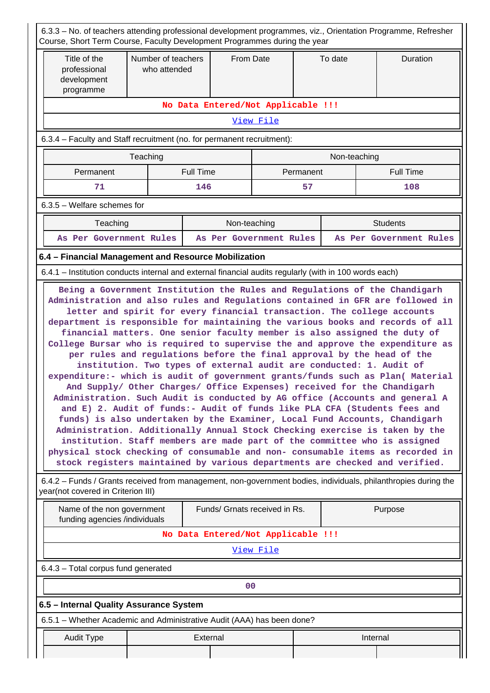| 6.3.3 – No. of teachers attending professional development programmes, viz., Orientation Programme, Refresher<br>Course, Short Term Course, Faculty Development Programmes during the year |                                                                                                                                                                                                                                                                                                                                                                                                                                                                                                                                                                                                                                                                                                                                                                                                                                                                                                                                                                                                                                                                                                                                                                                                                                                                                                  |                                    |           |           |              |                         |  |
|--------------------------------------------------------------------------------------------------------------------------------------------------------------------------------------------|--------------------------------------------------------------------------------------------------------------------------------------------------------------------------------------------------------------------------------------------------------------------------------------------------------------------------------------------------------------------------------------------------------------------------------------------------------------------------------------------------------------------------------------------------------------------------------------------------------------------------------------------------------------------------------------------------------------------------------------------------------------------------------------------------------------------------------------------------------------------------------------------------------------------------------------------------------------------------------------------------------------------------------------------------------------------------------------------------------------------------------------------------------------------------------------------------------------------------------------------------------------------------------------------------|------------------------------------|-----------|-----------|--------------|-------------------------|--|
| Title of the<br>professional<br>development<br>programme                                                                                                                                   | Number of teachers<br>who attended                                                                                                                                                                                                                                                                                                                                                                                                                                                                                                                                                                                                                                                                                                                                                                                                                                                                                                                                                                                                                                                                                                                                                                                                                                                               | From Date                          |           | To date   |              | Duration                |  |
|                                                                                                                                                                                            |                                                                                                                                                                                                                                                                                                                                                                                                                                                                                                                                                                                                                                                                                                                                                                                                                                                                                                                                                                                                                                                                                                                                                                                                                                                                                                  | No Data Entered/Not Applicable !!! |           |           |              |                         |  |
|                                                                                                                                                                                            |                                                                                                                                                                                                                                                                                                                                                                                                                                                                                                                                                                                                                                                                                                                                                                                                                                                                                                                                                                                                                                                                                                                                                                                                                                                                                                  |                                    | View File |           |              |                         |  |
| 6.3.4 - Faculty and Staff recruitment (no. for permanent recruitment):                                                                                                                     |                                                                                                                                                                                                                                                                                                                                                                                                                                                                                                                                                                                                                                                                                                                                                                                                                                                                                                                                                                                                                                                                                                                                                                                                                                                                                                  |                                    |           |           |              |                         |  |
|                                                                                                                                                                                            | Teaching                                                                                                                                                                                                                                                                                                                                                                                                                                                                                                                                                                                                                                                                                                                                                                                                                                                                                                                                                                                                                                                                                                                                                                                                                                                                                         |                                    |           |           | Non-teaching |                         |  |
| Permanent                                                                                                                                                                                  |                                                                                                                                                                                                                                                                                                                                                                                                                                                                                                                                                                                                                                                                                                                                                                                                                                                                                                                                                                                                                                                                                                                                                                                                                                                                                                  | <b>Full Time</b>                   |           | Permanent |              | <b>Full Time</b>        |  |
| 71                                                                                                                                                                                         |                                                                                                                                                                                                                                                                                                                                                                                                                                                                                                                                                                                                                                                                                                                                                                                                                                                                                                                                                                                                                                                                                                                                                                                                                                                                                                  | 146                                |           | 57        |              | 108                     |  |
| $6.3.5$ – Welfare schemes for                                                                                                                                                              |                                                                                                                                                                                                                                                                                                                                                                                                                                                                                                                                                                                                                                                                                                                                                                                                                                                                                                                                                                                                                                                                                                                                                                                                                                                                                                  |                                    |           |           |              |                         |  |
| Teaching                                                                                                                                                                                   |                                                                                                                                                                                                                                                                                                                                                                                                                                                                                                                                                                                                                                                                                                                                                                                                                                                                                                                                                                                                                                                                                                                                                                                                                                                                                                  | Non-teaching                       |           |           |              | <b>Students</b>         |  |
| As Per Government Rules                                                                                                                                                                    |                                                                                                                                                                                                                                                                                                                                                                                                                                                                                                                                                                                                                                                                                                                                                                                                                                                                                                                                                                                                                                                                                                                                                                                                                                                                                                  | As Per Government Rules            |           |           |              | As Per Government Rules |  |
| 6.4 - Financial Management and Resource Mobilization                                                                                                                                       |                                                                                                                                                                                                                                                                                                                                                                                                                                                                                                                                                                                                                                                                                                                                                                                                                                                                                                                                                                                                                                                                                                                                                                                                                                                                                                  |                                    |           |           |              |                         |  |
| 6.4.1 - Institution conducts internal and external financial audits regularly (with in 100 words each)                                                                                     |                                                                                                                                                                                                                                                                                                                                                                                                                                                                                                                                                                                                                                                                                                                                                                                                                                                                                                                                                                                                                                                                                                                                                                                                                                                                                                  |                                    |           |           |              |                         |  |
|                                                                                                                                                                                            | Administration and also rules and Regulations contained in GFR are followed in<br>letter and spirit for every financial transaction. The college accounts<br>department is responsible for maintaining the various books and records of all<br>financial matters. One senior faculty member is also assigned the duty of<br>College Bursar who is required to supervise the and approve the expenditure as<br>per rules and regulations before the final approval by the head of the<br>institution. Two types of external audit are conducted: 1. Audit of<br>expenditure:- which is audit of government grants/funds such as Plan( Material<br>And Supply/ Other Charges/ Office Expenses) received for the Chandigarh<br>Administration. Such Audit is conducted by AG office (Accounts and general A<br>and E) 2. Audit of funds:- Audit of funds like PLA CFA (Students fees and<br>funds) is also undertaken by the Examiner, Local Fund Accounts, Chandigarh<br>Administration. Additionally Annual Stock Checking exercise is taken by the<br>institution. Staff members are made part of the committee who is assigned<br>physical stock checking of consumable and non- consumable items as recorded in<br>stock registers maintained by various departments are checked and verified. |                                    |           |           |              |                         |  |
| 6.4.2 - Funds / Grants received from management, non-government bodies, individuals, philanthropies during the<br>year(not covered in Criterion III)                                       |                                                                                                                                                                                                                                                                                                                                                                                                                                                                                                                                                                                                                                                                                                                                                                                                                                                                                                                                                                                                                                                                                                                                                                                                                                                                                                  |                                    |           |           |              |                         |  |
| Name of the non government<br>funding agencies /individuals                                                                                                                                |                                                                                                                                                                                                                                                                                                                                                                                                                                                                                                                                                                                                                                                                                                                                                                                                                                                                                                                                                                                                                                                                                                                                                                                                                                                                                                  | Funds/ Grnats received in Rs.      |           |           |              | Purpose                 |  |
|                                                                                                                                                                                            |                                                                                                                                                                                                                                                                                                                                                                                                                                                                                                                                                                                                                                                                                                                                                                                                                                                                                                                                                                                                                                                                                                                                                                                                                                                                                                  | No Data Entered/Not Applicable !!! |           |           |              |                         |  |
|                                                                                                                                                                                            |                                                                                                                                                                                                                                                                                                                                                                                                                                                                                                                                                                                                                                                                                                                                                                                                                                                                                                                                                                                                                                                                                                                                                                                                                                                                                                  |                                    | View File |           |              |                         |  |
| 6.4.3 - Total corpus fund generated                                                                                                                                                        |                                                                                                                                                                                                                                                                                                                                                                                                                                                                                                                                                                                                                                                                                                                                                                                                                                                                                                                                                                                                                                                                                                                                                                                                                                                                                                  |                                    |           |           |              |                         |  |
|                                                                                                                                                                                            | 00                                                                                                                                                                                                                                                                                                                                                                                                                                                                                                                                                                                                                                                                                                                                                                                                                                                                                                                                                                                                                                                                                                                                                                                                                                                                                               |                                    |           |           |              |                         |  |
|                                                                                                                                                                                            | 6.5 - Internal Quality Assurance System                                                                                                                                                                                                                                                                                                                                                                                                                                                                                                                                                                                                                                                                                                                                                                                                                                                                                                                                                                                                                                                                                                                                                                                                                                                          |                                    |           |           |              |                         |  |
|                                                                                                                                                                                            | 6.5.1 – Whether Academic and Administrative Audit (AAA) has been done?                                                                                                                                                                                                                                                                                                                                                                                                                                                                                                                                                                                                                                                                                                                                                                                                                                                                                                                                                                                                                                                                                                                                                                                                                           |                                    |           |           |              |                         |  |
| <b>Audit Type</b>                                                                                                                                                                          |                                                                                                                                                                                                                                                                                                                                                                                                                                                                                                                                                                                                                                                                                                                                                                                                                                                                                                                                                                                                                                                                                                                                                                                                                                                                                                  | External                           |           |           |              | Internal                |  |
|                                                                                                                                                                                            |                                                                                                                                                                                                                                                                                                                                                                                                                                                                                                                                                                                                                                                                                                                                                                                                                                                                                                                                                                                                                                                                                                                                                                                                                                                                                                  |                                    |           |           |              |                         |  |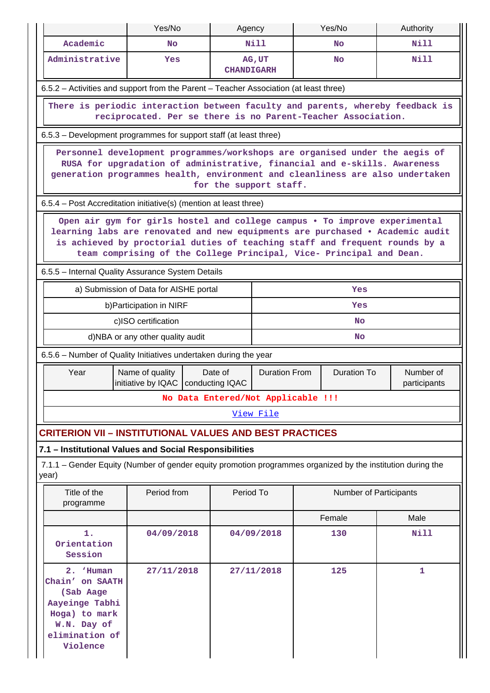|                                                                                                                                                                                                                                                                                                                   | Yes/No                                                                                                                                                                                                                                                              | Agency            |                      |  | Yes/No                 | Authority                 |  |  |
|-------------------------------------------------------------------------------------------------------------------------------------------------------------------------------------------------------------------------------------------------------------------------------------------------------------------|---------------------------------------------------------------------------------------------------------------------------------------------------------------------------------------------------------------------------------------------------------------------|-------------------|----------------------|--|------------------------|---------------------------|--|--|
| Academic                                                                                                                                                                                                                                                                                                          | <b>No</b>                                                                                                                                                                                                                                                           |                   | N <sub>i</sub> 11    |  | <b>No</b>              | Nill                      |  |  |
| Administrative                                                                                                                                                                                                                                                                                                    | Yes                                                                                                                                                                                                                                                                 | <b>CHANDIGARH</b> | AG, UT               |  | <b>No</b>              | Nill                      |  |  |
| 6.5.2 - Activities and support from the Parent - Teacher Association (at least three)                                                                                                                                                                                                                             |                                                                                                                                                                                                                                                                     |                   |                      |  |                        |                           |  |  |
| There is periodic interaction between faculty and parents, whereby feedback is<br>reciprocated. Per se there is no Parent-Teacher Association.                                                                                                                                                                    |                                                                                                                                                                                                                                                                     |                   |                      |  |                        |                           |  |  |
| 6.5.3 – Development programmes for support staff (at least three)                                                                                                                                                                                                                                                 |                                                                                                                                                                                                                                                                     |                   |                      |  |                        |                           |  |  |
|                                                                                                                                                                                                                                                                                                                   | Personnel development programmes/workshops are organised under the aegis of<br>RUSA for upgradation of administrative, financial and e-skills. Awareness<br>generation programmes health, environment and cleanliness are also undertaken<br>for the support staff. |                   |                      |  |                        |                           |  |  |
| 6.5.4 - Post Accreditation initiative(s) (mention at least three)                                                                                                                                                                                                                                                 |                                                                                                                                                                                                                                                                     |                   |                      |  |                        |                           |  |  |
| Open air gym for girls hostel and college campus . To improve experimental<br>learning labs are renovated and new equipments are purchased . Academic audit<br>is achieved by proctorial duties of teaching staff and frequent rounds by a<br>team comprising of the College Principal, Vice- Principal and Dean. |                                                                                                                                                                                                                                                                     |                   |                      |  |                        |                           |  |  |
| 6.5.5 - Internal Quality Assurance System Details                                                                                                                                                                                                                                                                 |                                                                                                                                                                                                                                                                     |                   |                      |  |                        |                           |  |  |
| a) Submission of Data for AISHE portal<br>Yes                                                                                                                                                                                                                                                                     |                                                                                                                                                                                                                                                                     |                   |                      |  |                        |                           |  |  |
| b) Participation in NIRF<br>Yes                                                                                                                                                                                                                                                                                   |                                                                                                                                                                                                                                                                     |                   |                      |  |                        |                           |  |  |
|                                                                                                                                                                                                                                                                                                                   | c)ISO certification                                                                                                                                                                                                                                                 |                   |                      |  | <b>No</b>              |                           |  |  |
|                                                                                                                                                                                                                                                                                                                   | d)NBA or any other quality audit                                                                                                                                                                                                                                    |                   |                      |  | No                     |                           |  |  |
| 6.5.6 - Number of Quality Initiatives undertaken during the year                                                                                                                                                                                                                                                  |                                                                                                                                                                                                                                                                     |                   |                      |  |                        |                           |  |  |
| Year                                                                                                                                                                                                                                                                                                              | Name of quality<br>initiative by IQAC   conducting IQAC                                                                                                                                                                                                             | Date of           | <b>Duration From</b> |  | <b>Duration To</b>     | Number of<br>participants |  |  |
|                                                                                                                                                                                                                                                                                                                   | No Data Entered/Not Applicable !!!                                                                                                                                                                                                                                  |                   |                      |  |                        |                           |  |  |
|                                                                                                                                                                                                                                                                                                                   |                                                                                                                                                                                                                                                                     |                   | View File            |  |                        |                           |  |  |
| <b>CRITERION VII - INSTITUTIONAL VALUES AND BEST PRACTICES</b>                                                                                                                                                                                                                                                    |                                                                                                                                                                                                                                                                     |                   |                      |  |                        |                           |  |  |
| 7.1 - Institutional Values and Social Responsibilities                                                                                                                                                                                                                                                            |                                                                                                                                                                                                                                                                     |                   |                      |  |                        |                           |  |  |
| 7.1.1 – Gender Equity (Number of gender equity promotion programmes organized by the institution during the<br>year)                                                                                                                                                                                              |                                                                                                                                                                                                                                                                     |                   |                      |  |                        |                           |  |  |
| Title of the<br>programme                                                                                                                                                                                                                                                                                         | Period from                                                                                                                                                                                                                                                         | Period To         |                      |  | Number of Participants |                           |  |  |
|                                                                                                                                                                                                                                                                                                                   |                                                                                                                                                                                                                                                                     |                   |                      |  | Female                 | Male                      |  |  |
| 1.<br>Orientation<br>Session                                                                                                                                                                                                                                                                                      | 04/09/2018                                                                                                                                                                                                                                                          |                   | 04/09/2018           |  | 130                    | Nill                      |  |  |
| 2. 'Human<br>Chain' on SAATH<br>(Sab Aage<br>Aayeinge Tabhi<br>Hoga) to mark<br>W.N. Day of<br>elimination of<br>Violence                                                                                                                                                                                         | 27/11/2018                                                                                                                                                                                                                                                          |                   | 27/11/2018           |  | 125                    | 1                         |  |  |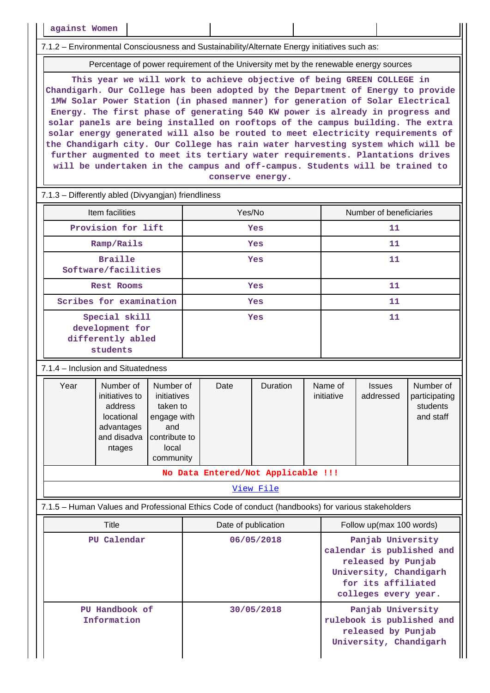**against Women**

7.1.2 – Environmental Consciousness and Sustainability/Alternate Energy initiatives such as:

Percentage of power requirement of the University met by the renewable energy sources

**This year we will work to achieve objective of being GREEN COLLEGE in Chandigarh. Our College has been adopted by the Department of Energy to provide 1MW Solar Power Station (in phased manner) for generation of Solar Electrical Energy. The first phase of generating 540 KW power is already in progress and solar panels are being installed on rooftops of the campus building. The extra solar energy generated will also be routed to meet electricity requirements of the Chandigarh city. Our College has rain water harvesting system which will be further augmented to meet its tertiary water requirements. Plantations drives will be undertaken in the campus and off-campus. Students will be trained to conserve energy.**

#### 7.1.3 – Differently abled (Divyangjan) friendliness

| Item facilities                                                   | Yes/No     | Number of beneficiaries |
|-------------------------------------------------------------------|------------|-------------------------|
| Provision for lift                                                | <b>Yes</b> | 11                      |
| Ramp/Rails                                                        | <b>Yes</b> | 11                      |
| <b>Braille</b><br>Software/facilities                             | <b>Yes</b> | 11                      |
| Rest Rooms                                                        | Yes        | 11                      |
| Scribes for examination                                           | <b>Yes</b> | 11                      |
| Special skill<br>development for<br>differently abled<br>students | Yes        | 11                      |

7.1.4 – Inclusion and Situatedness

| Year<br>Number of<br>initiatives to<br>address<br>locational<br>advantages<br>and disadva<br>ntages | Number of<br>initiatives<br>taken to<br>engage with<br>and<br>contribute to<br>local<br>community | Date | Duration | Name of<br>initiative | <b>Issues</b><br>addressed | Number of<br>participating<br>students<br>and staff |  |
|-----------------------------------------------------------------------------------------------------|---------------------------------------------------------------------------------------------------|------|----------|-----------------------|----------------------------|-----------------------------------------------------|--|
| $M_{\odot}$ Data Betsead/Mat Beelisable (11)                                                        |                                                                                                   |      |          |                       |                            |                                                     |  |

**No Data Entered/Not Applicable !!!**

[View File](https://assessmentonline.naac.gov.in/public/Postacc/Inclusion/4577_Inclusion_1620204894.xlsx)

# 7.1.5 – Human Values and Professional Ethics Code of conduct (handbooks) for various stakeholders

| Title                         | Date of publication | Follow up(max 100 words)                                                                                                                     |  |  |
|-------------------------------|---------------------|----------------------------------------------------------------------------------------------------------------------------------------------|--|--|
| PU Calendar                   | 06/05/2018          | Panjab University<br>calendar is published and<br>released by Punjab<br>University, Chandigarh<br>for its affiliated<br>colleges every year. |  |  |
| PU Handbook of<br>Information | 30/05/2018          | Panjab University<br>rulebook is published and<br>released by Punjab<br>University, Chandigarh                                               |  |  |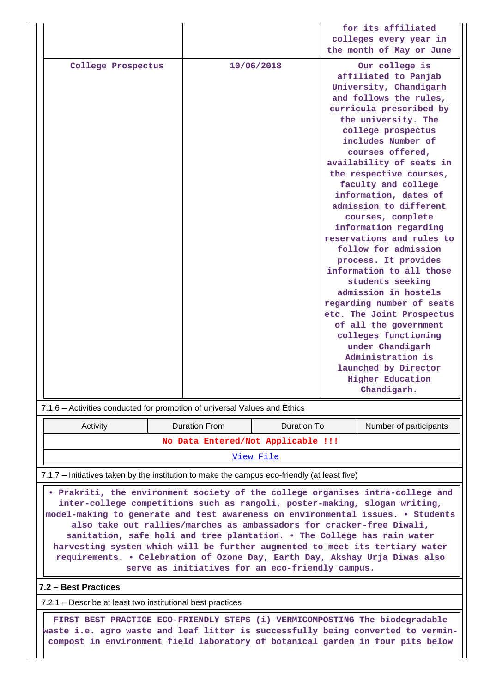|                                                                                              |                                    |                    | for its affiliated<br>colleges every year in |                                                                                                                                                                                                                                                                                                                                                                                                                                                                                                                                                                                                                                                                                                                                                         |  |  |
|----------------------------------------------------------------------------------------------|------------------------------------|--------------------|----------------------------------------------|---------------------------------------------------------------------------------------------------------------------------------------------------------------------------------------------------------------------------------------------------------------------------------------------------------------------------------------------------------------------------------------------------------------------------------------------------------------------------------------------------------------------------------------------------------------------------------------------------------------------------------------------------------------------------------------------------------------------------------------------------------|--|--|
|                                                                                              |                                    |                    |                                              | the month of May or June                                                                                                                                                                                                                                                                                                                                                                                                                                                                                                                                                                                                                                                                                                                                |  |  |
| College Prospectus                                                                           |                                    | 10/06/2018         |                                              | Our college is<br>affiliated to Panjab<br>University, Chandigarh<br>and follows the rules,<br>curricula prescribed by<br>the university. The<br>college prospectus<br>includes Number of<br>courses offered,<br>availability of seats in<br>the respective courses,<br>faculty and college<br>information, dates of<br>admission to different<br>courses, complete<br>information regarding<br>reservations and rules to<br>follow for admission<br>process. It provides<br>information to all those<br>students seeking<br>admission in hostels<br>regarding number of seats<br>etc. The Joint Prospectus<br>of all the government<br>colleges functioning<br>under Chandigarh<br>Administration is<br>launched by Director<br><b>Higher Education</b> |  |  |
| 7.1.6 - Activities conducted for promotion of universal Values and Ethics                    |                                    |                    |                                              | Chandigarh.                                                                                                                                                                                                                                                                                                                                                                                                                                                                                                                                                                                                                                                                                                                                             |  |  |
|                                                                                              |                                    |                    |                                              |                                                                                                                                                                                                                                                                                                                                                                                                                                                                                                                                                                                                                                                                                                                                                         |  |  |
| Activity                                                                                     | <b>Duration From</b>               | <b>Duration To</b> |                                              | Number of participants                                                                                                                                                                                                                                                                                                                                                                                                                                                                                                                                                                                                                                                                                                                                  |  |  |
|                                                                                              | No Data Entered/Not Applicable !!! | View File          |                                              |                                                                                                                                                                                                                                                                                                                                                                                                                                                                                                                                                                                                                                                                                                                                                         |  |  |
|                                                                                              |                                    |                    |                                              |                                                                                                                                                                                                                                                                                                                                                                                                                                                                                                                                                                                                                                                                                                                                                         |  |  |
| 7.1.7 - Initiatives taken by the institution to make the campus eco-friendly (at least five) |                                    |                    |                                              |                                                                                                                                                                                                                                                                                                                                                                                                                                                                                                                                                                                                                                                                                                                                                         |  |  |

 **• Prakriti, the environment society of the college organises intra-college and inter-college competitions such as rangoli, poster-making, slogan writing, model-making to generate and test awareness on environmental issues. • Students also take out rallies/marches as ambassadors for cracker-free Diwali, sanitation, safe holi and tree plantation. • The College has rain water harvesting system which will be further augmented to meet its tertiary water requirements. • Celebration of Ozone Day, Earth Day, Akshay Urja Diwas also serve as initiatives for an eco-friendly campus.**

#### **7.2 – Best Practices**

7.2.1 – Describe at least two institutional best practices

 **FIRST BEST PRACTICE ECO-FRIENDLY STEPS (i) VERMICOMPOSTING The biodegradable waste i.e. agro waste and leaf litter is successfully being converted to vermincompost in environment field laboratory of botanical garden in four pits below**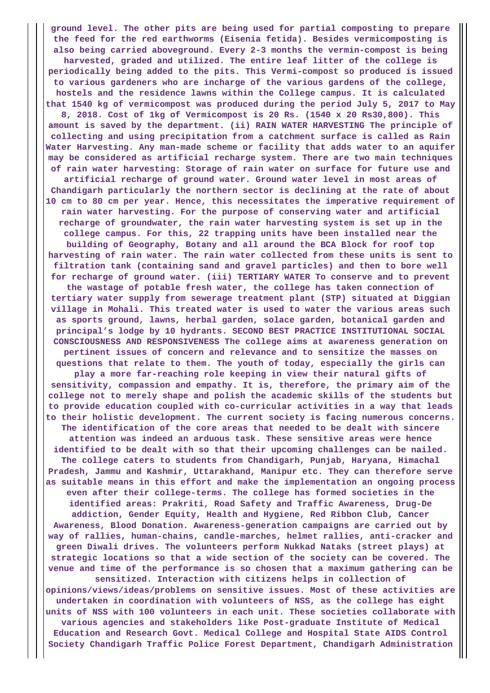**ground level. The other pits are being used for partial composting to prepare the feed for the red earthworms (Eisenia fetida). Besides vermicomposting is also being carried aboveground. Every 2-3 months the vermin-compost is being harvested, graded and utilized. The entire leaf litter of the college is periodically being added to the pits. This Vermi-compost so produced is issued to various gardeners who are incharge of the various gardens of the college, hostels and the residence lawns within the College campus. It is calculated that 1540 kg of vermicompost was produced during the period July 5, 2017 to May 8, 2018. Cost of 1kg of Vermicompost is 20 Rs. (1540 x 20 Rs30,800). This amount is saved by the department. (ii) RAIN WATER HARVESTING The principle of collecting and using precipitation from a catchment surface is called as Rain Water Harvesting. Any man-made scheme or facility that adds water to an aquifer may be considered as artificial recharge system. There are two main techniques of rain water harvesting: Storage of rain water on surface for future use and artificial recharge of ground water. Ground water level in most areas of Chandigarh particularly the northern sector is declining at the rate of about 10 cm to 80 cm per year. Hence, this necessitates the imperative requirement of rain water harvesting. For the purpose of conserving water and artificial recharge of groundwater, the rain water harvesting system is set up in the college campus. For this, 22 trapping units have been installed near the building of Geography, Botany and all around the BCA Block for roof top harvesting of rain water. The rain water collected from these units is sent to filtration tank (containing sand and gravel particles) and then to bore well for recharge of ground water. (iii) TERTIARY WATER To conserve and to prevent the wastage of potable fresh water, the college has taken connection of tertiary water supply from sewerage treatment plant (STP) situated at Diggian village in Mohali. This treated water is used to water the various areas such as sports ground, lawns, herbal garden, solace garden, botanical garden and principal's lodge by 10 hydrants. SECOND BEST PRACTICE INSTITUTIONAL SOCIAL CONSCIOUSNESS AND RESPONSIVENESS The college aims at awareness generation on pertinent issues of concern and relevance and to sensitize the masses on questions that relate to them. The youth of today, especially the girls can play a more far-reaching role keeping in view their natural gifts of sensitivity, compassion and empathy. It is, therefore, the primary aim of the college not to merely shape and polish the academic skills of the students but to provide education coupled with co-curricular activities in a way that leads to their holistic development. The current society is facing numerous concerns. The identification of the core areas that needed to be dealt with sincere attention was indeed an arduous task. These sensitive areas were hence identified to be dealt with so that their upcoming challenges can be nailed. The college caters to students from Chandigarh, Punjab, Haryana, Himachal Pradesh, Jammu and Kashmir, Uttarakhand, Manipur etc. They can therefore serve as suitable means in this effort and make the implementation an ongoing process even after their college-terms. The college has formed societies in the identified areas: Prakriti, Road Safety and Traffic Awareness, Drug-De addiction, Gender Equity, Health and Hygiene, Red Ribbon Club, Cancer Awareness, Blood Donation. Awareness-generation campaigns are carried out by way of rallies, human-chains, candle-marches, helmet rallies, anti-cracker and green Diwali drives. The volunteers perform Nukkad Nataks (street plays) at strategic locations so that a wide section of the society can be covered. The venue and time of the performance is so chosen that a maximum gathering can be sensitized. Interaction with citizens helps in collection of opinions/views/ideas/problems on sensitive issues. Most of these activities are undertaken in coordination with volunteers of NSS, as the college has eight units of NSS with 100 volunteers in each unit. These societies collaborate with various agencies and stakeholders like Post-graduate Institute of Medical Education and Research Govt. Medical College and Hospital State AIDS Control Society Chandigarh Traffic Police Forest Department, Chandigarh Administration**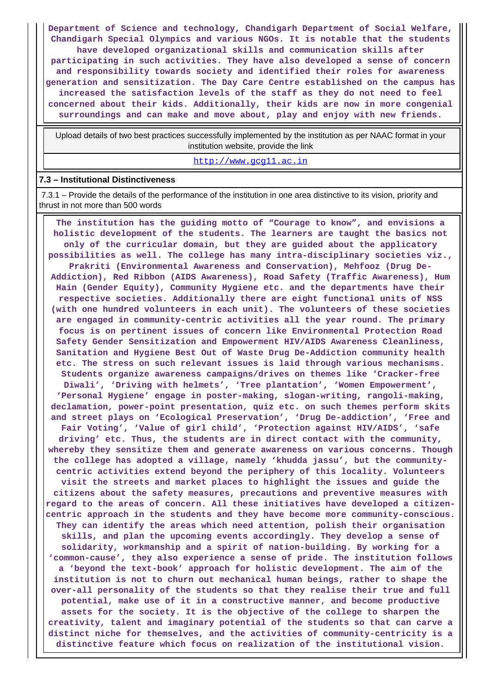**Department of Science and technology, Chandigarh Department of Social Welfare, Chandigarh Special Olympics and various NGOs. It is notable that the students have developed organizational skills and communication skills after participating in such activities. They have also developed a sense of concern and responsibility towards society and identified their roles for awareness generation and sensitization. The Day Care Centre established on the campus has increased the satisfaction levels of the staff as they do not need to feel concerned about their kids. Additionally, their kids are now in more congenial surroundings and can make and move about, play and enjoy with new friends.**

 Upload details of two best practices successfully implemented by the institution as per NAAC format in your institution website, provide the link

<http://www.gcg11.ac.in>

#### **7.3 – Institutional Distinctiveness**

 7.3.1 – Provide the details of the performance of the institution in one area distinctive to its vision, priority and thrust in not more than 500 words

 **The institution has the guiding motto of "Courage to know", and envisions a holistic development of the students. The learners are taught the basics not only of the curricular domain, but they are guided about the applicatory possibilities as well. The college has many intra-disciplinary societies viz., Prakriti (Environmental Awareness and Conservation), Mehfooz (Drug De-Addiction), Red Ribbon (AIDS Awareness), Road Safety (Traffic Awareness), Hum Hain (Gender Equity), Community Hygiene etc. and the departments have their respective societies. Additionally there are eight functional units of NSS (with one hundred volunteers in each unit). The volunteers of these societies are engaged in community-centric activities all the year round. The primary focus is on pertinent issues of concern like Environmental Protection Road Safety Gender Sensitization and Empowerment HIV/AIDS Awareness Cleanliness, Sanitation and Hygiene Best Out of Waste Drug De-Addiction community health etc. The stress on such relevant issues is laid through various mechanisms. Students organize awareness campaigns/drives on themes like 'Cracker-free Diwali', 'Driving with helmets', 'Tree plantation', 'Women Empowerment', 'Personal Hygiene' engage in poster-making, slogan-writing, rangoli-making, declamation, power-point presentation, quiz etc. on such themes perform skits and street plays on 'Ecological Preservation', 'Drug De-addiction', 'Free and Fair Voting', 'Value of girl child', 'Protection against HIV/AIDS', 'safe driving' etc. Thus, the students are in direct contact with the community, whereby they sensitize them and generate awareness on various concerns. Though the college has adopted a village, namely 'khudda jassu', but the communitycentric activities extend beyond the periphery of this locality. Volunteers visit the streets and market places to highlight the issues and guide the citizens about the safety measures, precautions and preventive measures with regard to the areas of concern. All these initiatives have developed a citizencentric approach in the students and they have become more community-conscious. They can identify the areas which need attention, polish their organisation skills, and plan the upcoming events accordingly. They develop a sense of solidarity, workmanship and a spirit of nation-building. By working for a 'common-cause', they also experience a sense of pride. The institution follows a 'beyond the text-book' approach for holistic development. The aim of the institution is not to churn out mechanical human beings, rather to shape the over-all personality of the students so that they realise their true and full potential, make use of it in a constructive manner, and become productive assets for the society. It is the objective of the college to sharpen the creativity, talent and imaginary potential of the students so that can carve a distinct niche for themselves, and the activities of community-centricity is a distinctive feature which focus on realization of the institutional vision.**